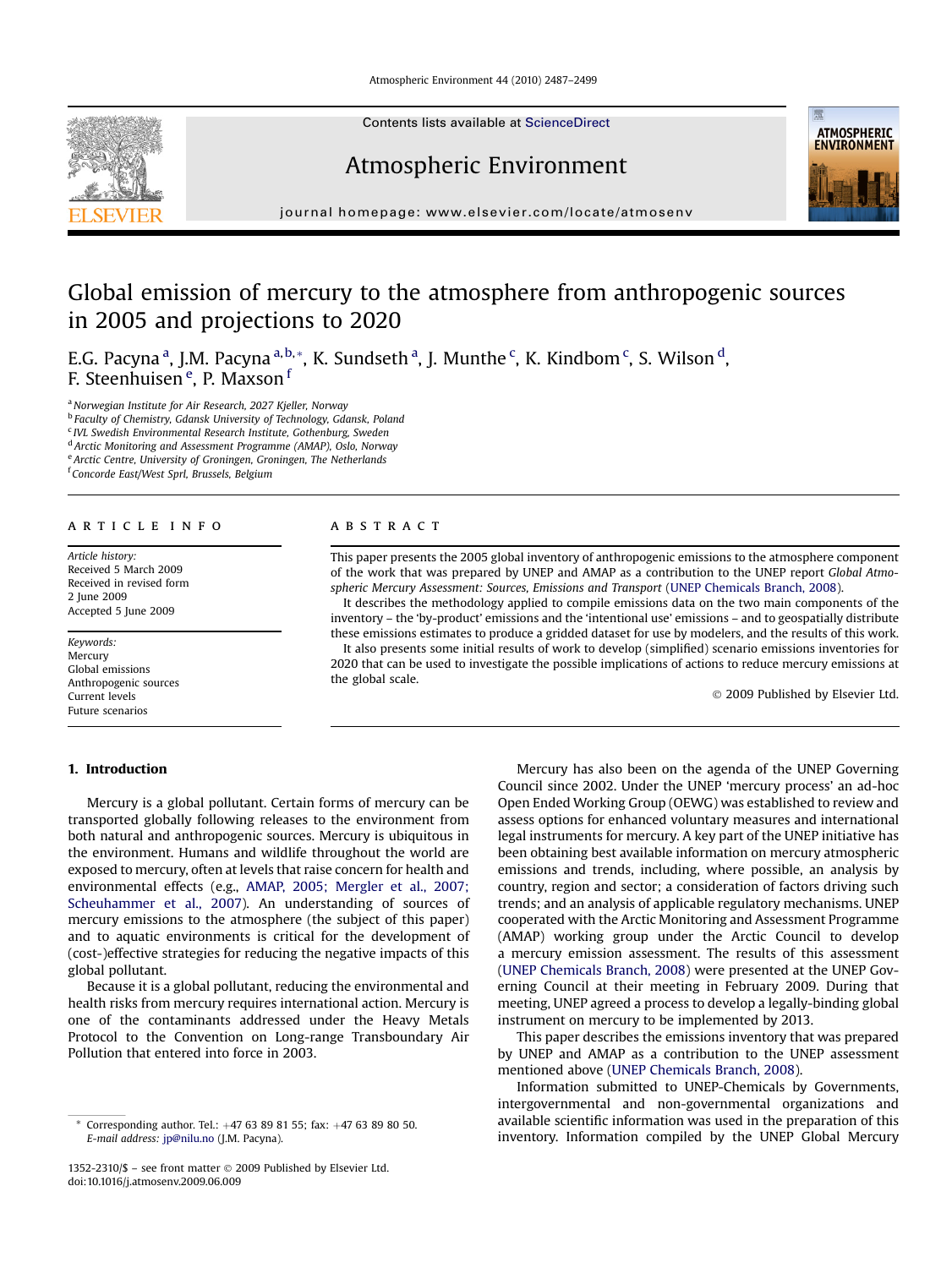Contents lists available at [ScienceDirect](www.sciencedirect.com/science/journal/13522310)

# Atmospheric Environment



journal homepage:<www.elsevier.com/locate/atmosenv>

# Global emission of mercury to the atmosphere from anthropogenic sources in 2005 and projections to 2020

E.G. Pacyna <sup>a</sup>, J.M. Pacyna <sup>a,b,</sup>\*, K. Sundseth <sup>a</sup>, J. Munthe <sup>c</sup>, K. Kindbom <sup>c</sup>, S. Wilson <sup>d</sup>, F. Steenhuisen <sup>e</sup>, P. Maxson <sup>f</sup>

<sup>a</sup> Norwegian Institute for Air Research, 2027 Kjeller, Norway <sup>b</sup> Faculty of Chemistry, Gdansk University of Technology, Gdansk, Poland <sup>c</sup> IVL Swedish Environmental Research Institute, Gothenburg, Sweden <sup>d</sup> Arctic Monitoring and Assessment Programme (AMAP), Oslo, Norway e Arctic Centre, University of Groningen, Groningen, The Netherlands

<sup>f</sup> Concorde East/West Sprl, Brussels, Belgium

#### article info

Article history: Received 5 March 2009 Received in revised form 2 June 2009 Accepted 5 June 2009

Keywords: **Mercury** Global emissions Anthropogenic sources Current levels Future scenarios

## 1. Introduction

## **ABSTRACT**

the global scale.

This paper presents the 2005 global inventory of anthropogenic emissions to the atmosphere component of the work that was prepared by UNEP and AMAP as a contribution to the UNEP report Global Atmospheric Mercury Assessment: Sources, Emissions and Transport ([UNEP Chemicals Branch, 2008\)](#page-12-0).

It describes the methodology applied to compile emissions data on the two main components of the inventory – the 'by-product' emissions and the 'intentional use' emissions – and to geospatially distribute these emissions estimates to produce a gridded dataset for use by modelers, and the results of this work. It also presents some initial results of work to develop (simplified) scenario emissions inventories for 2020 that can be used to investigate the possible implications of actions to reduce mercury emissions at

- 2009 Published by Elsevier Ltd.

Mercury is a global pollutant. Certain forms of mercury can be transported globally following releases to the environment from both natural and anthropogenic sources. Mercury is ubiquitous in the environment. Humans and wildlife throughout the world are exposed to mercury, often at levels that raise concern for health and environmental effects (e.g., [AMAP, 2005; Mergler et al., 2007;](#page-12-0) [Scheuhammer et al., 2007](#page-12-0)). An understanding of sources of mercury emissions to the atmosphere (the subject of this paper) and to aquatic environments is critical for the development of (cost-)effective strategies for reducing the negative impacts of this global pollutant.

Because it is a global pollutant, reducing the environmental and health risks from mercury requires international action. Mercury is one of the contaminants addressed under the Heavy Metals Protocol to the Convention on Long-range Transboundary Air Pollution that entered into force in 2003.

Mercury has also been on the agenda of the UNEP Governing Council since 2002. Under the UNEP 'mercury process' an ad-hoc Open Ended Working Group (OEWG) was established to review and assess options for enhanced voluntary measures and international legal instruments for mercury. A key part of the UNEP initiative has been obtaining best available information on mercury atmospheric emissions and trends, including, where possible, an analysis by country, region and sector; a consideration of factors driving such trends; and an analysis of applicable regulatory mechanisms. UNEP cooperated with the Arctic Monitoring and Assessment Programme (AMAP) working group under the Arctic Council to develop a mercury emission assessment. The results of this assessment ([UNEP Chemicals Branch, 2008](#page-12-0)) were presented at the UNEP Governing Council at their meeting in February 2009. During that meeting, UNEP agreed a process to develop a legally-binding global instrument on mercury to be implemented by 2013.

This paper describes the emissions inventory that was prepared by UNEP and AMAP as a contribution to the UNEP assessment mentioned above ([UNEP Chemicals Branch, 2008](#page-12-0)).

Information submitted to UNEP-Chemicals by Governments, intergovernmental and non-governmental organizations and available scientific information was used in the preparation of this inventory. Information compiled by the UNEP Global Mercury

Corresponding author. Tel.:  $+47$  63 89 81 55; fax:  $+47$  63 89 80 50. E-mail address: [jp@nilu.no](mailto:jp@nilu.no) (J.M. Pacyna).

 $1352 - 2310$ /\$ – see front matter  $\odot$  2009 Published by Elsevier Ltd. doi:10.1016/j.atmosenv.2009.06.009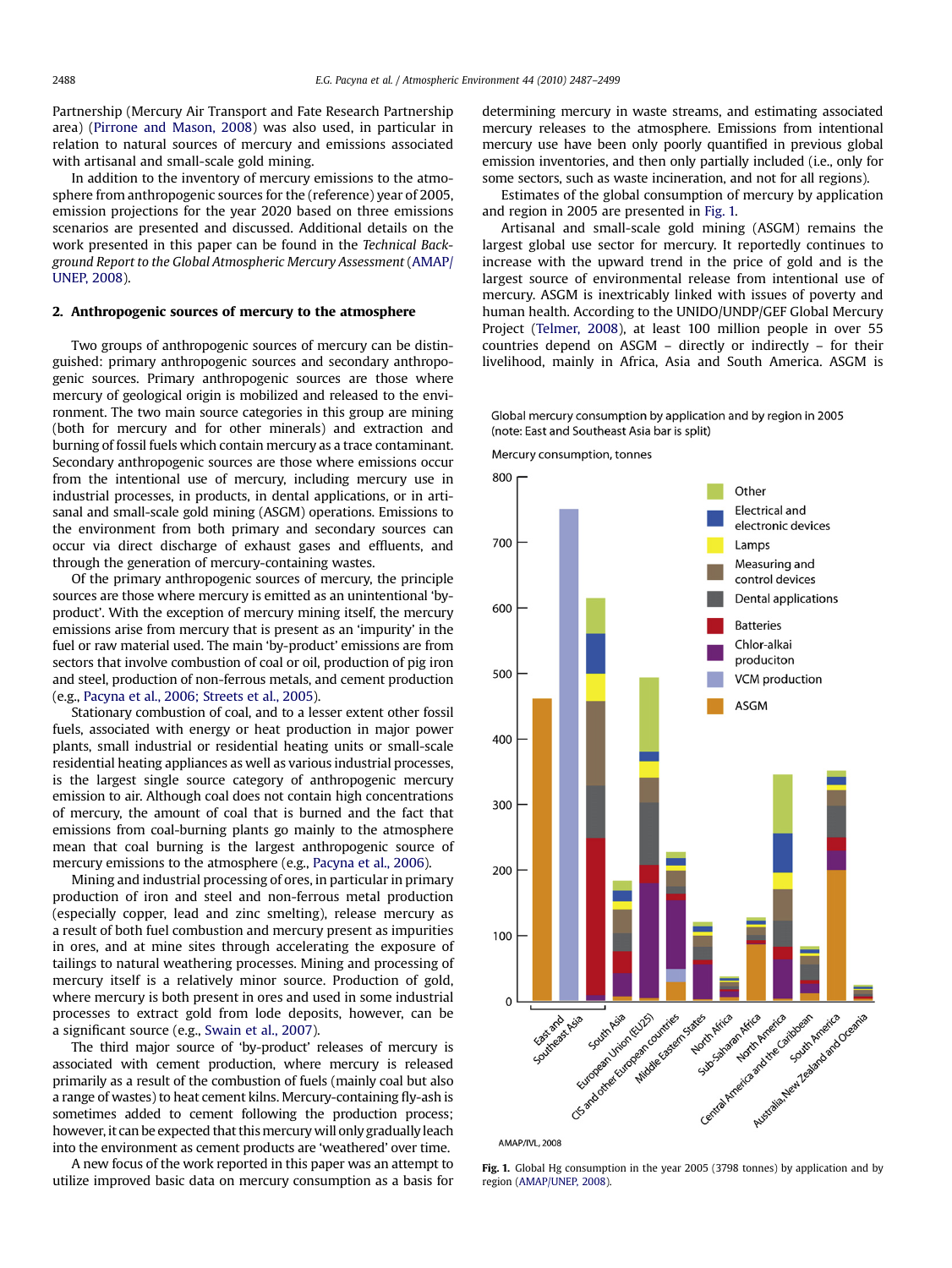<span id="page-1-0"></span>Partnership (Mercury Air Transport and Fate Research Partnership area) ([Pirrone and Mason, 2008\)](#page-12-0) was also used, in particular in relation to natural sources of mercury and emissions associated with artisanal and small-scale gold mining.

In addition to the inventory of mercury emissions to the atmosphere from anthropogenic sources for the (reference) year of 2005, emission projections for the year 2020 based on three emissions scenarios are presented and discussed. Additional details on the work presented in this paper can be found in the Technical Background Report to the Global Atmospheric Mercury Assessment ([AMAP/](#page-12-0) [UNEP, 2008\)](#page-12-0).

# 2. Anthropogenic sources of mercury to the atmosphere

Two groups of anthropogenic sources of mercury can be distinguished: primary anthropogenic sources and secondary anthropogenic sources. Primary anthropogenic sources are those where mercury of geological origin is mobilized and released to the environment. The two main source categories in this group are mining (both for mercury and for other minerals) and extraction and burning of fossil fuels which contain mercury as a trace contaminant. Secondary anthropogenic sources are those where emissions occur from the intentional use of mercury, including mercury use in industrial processes, in products, in dental applications, or in artisanal and small-scale gold mining (ASGM) operations. Emissions to the environment from both primary and secondary sources can occur via direct discharge of exhaust gases and effluents, and through the generation of mercury-containing wastes.

Of the primary anthropogenic sources of mercury, the principle sources are those where mercury is emitted as an unintentional 'byproduct'. With the exception of mercury mining itself, the mercury emissions arise from mercury that is present as an 'impurity' in the fuel or raw material used. The main 'by-product' emissions are from sectors that involve combustion of coal or oil, production of pig iron and steel, production of non-ferrous metals, and cement production (e.g., [Pacyna et al., 2006; Streets et al., 2005\)](#page-12-0).

Stationary combustion of coal, and to a lesser extent other fossil fuels, associated with energy or heat production in major power plants, small industrial or residential heating units or small-scale residential heating appliances as well as various industrial processes, is the largest single source category of anthropogenic mercury emission to air. Although coal does not contain high concentrations of mercury, the amount of coal that is burned and the fact that emissions from coal-burning plants go mainly to the atmosphere mean that coal burning is the largest anthropogenic source of mercury emissions to the atmosphere (e.g., [Pacyna et al., 2006](#page-12-0)).

Mining and industrial processing of ores, in particular in primary production of iron and steel and non-ferrous metal production (especially copper, lead and zinc smelting), release mercury as a result of both fuel combustion and mercury present as impurities in ores, and at mine sites through accelerating the exposure of tailings to natural weathering processes. Mining and processing of mercury itself is a relatively minor source. Production of gold, where mercury is both present in ores and used in some industrial processes to extract gold from lode deposits, however, can be a significant source (e.g., [Swain et al., 2007\)](#page-12-0).

The third major source of 'by-product' releases of mercury is associated with cement production, where mercury is released primarily as a result of the combustion of fuels (mainly coal but also a range of wastes) to heat cement kilns. Mercury-containing fly-ash is sometimes added to cement following the production process; however, it can be expected that this mercury will only gradually leach into the environment as cement products are 'weathered' over time.

A new focus of the work reported in this paper was an attempt to utilize improved basic data on mercury consumption as a basis for determining mercury in waste streams, and estimating associated mercury releases to the atmosphere. Emissions from intentional mercury use have been only poorly quantified in previous global emission inventories, and then only partially included (i.e., only for some sectors, such as waste incineration, and not for all regions).

Estimates of the global consumption of mercury by application and region in 2005 are presented in Fig. 1.

Artisanal and small-scale gold mining (ASGM) remains the largest global use sector for mercury. It reportedly continues to increase with the upward trend in the price of gold and is the largest source of environmental release from intentional use of mercury. ASGM is inextricably linked with issues of poverty and human health. According to the UNIDO/UNDP/GEF Global Mercury Project ([Telmer, 2008](#page-12-0)), at least 100 million people in over 55 countries depend on ASGM – directly or indirectly – for their livelihood, mainly in Africa, Asia and South America. ASGM is

Global mercury consumption by application and by region in 2005 (note: East and Southeast Asia bar is split)

Mercury consumption, tonnes



Fig. 1. Global Hg consumption in the year 2005 (3798 tonnes) by application and by region ([AMAP/UNEP, 2008](#page-12-0)).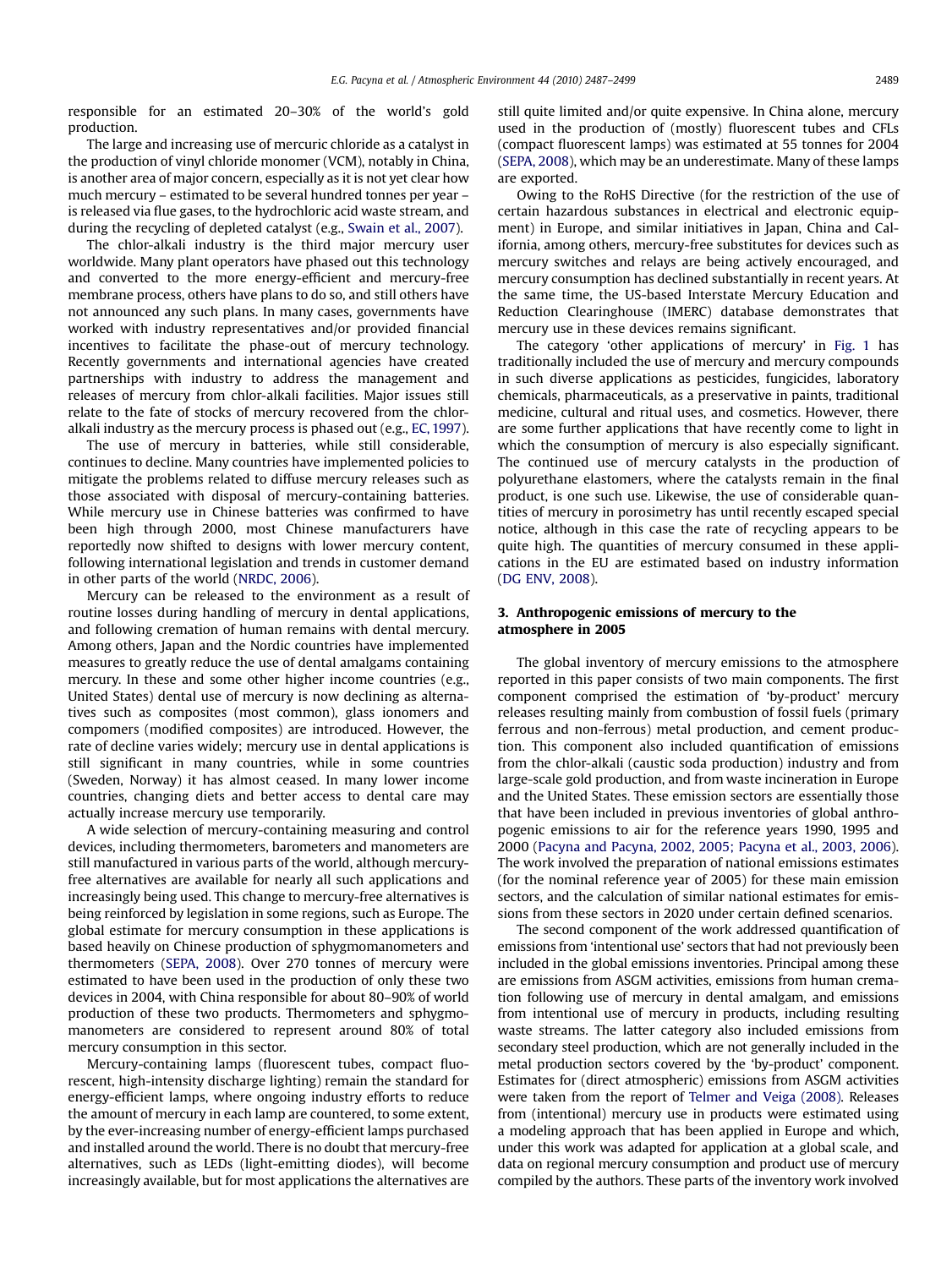responsible for an estimated 20–30% of the world's gold production.

The large and increasing use of mercuric chloride as a catalyst in the production of vinyl chloride monomer (VCM), notably in China, is another area of major concern, especially as it is not yet clear how much mercury – estimated to be several hundred tonnes per year – is released via flue gases, to the hydrochloric acid waste stream, and during the recycling of depleted catalyst (e.g., [Swain et al., 2007\)](#page-12-0).

The chlor-alkali industry is the third major mercury user worldwide. Many plant operators have phased out this technology and converted to the more energy-efficient and mercury-free membrane process, others have plans to do so, and still others have not announced any such plans. In many cases, governments have worked with industry representatives and/or provided financial incentives to facilitate the phase-out of mercury technology. Recently governments and international agencies have created partnerships with industry to address the management and releases of mercury from chlor-alkali facilities. Major issues still relate to the fate of stocks of mercury recovered from the chloralkali industry as the mercury process is phased out (e.g., [EC, 1997\)](#page-12-0).

The use of mercury in batteries, while still considerable, continues to decline. Many countries have implemented policies to mitigate the problems related to diffuse mercury releases such as those associated with disposal of mercury-containing batteries. While mercury use in Chinese batteries was confirmed to have been high through 2000, most Chinese manufacturers have reportedly now shifted to designs with lower mercury content, following international legislation and trends in customer demand in other parts of the world [\(NRDC, 2006\)](#page-12-0).

Mercury can be released to the environment as a result of routine losses during handling of mercury in dental applications, and following cremation of human remains with dental mercury. Among others, Japan and the Nordic countries have implemented measures to greatly reduce the use of dental amalgams containing mercury. In these and some other higher income countries (e.g., United States) dental use of mercury is now declining as alternatives such as composites (most common), glass ionomers and compomers (modified composites) are introduced. However, the rate of decline varies widely; mercury use in dental applications is still significant in many countries, while in some countries (Sweden, Norway) it has almost ceased. In many lower income countries, changing diets and better access to dental care may actually increase mercury use temporarily.

A wide selection of mercury-containing measuring and control devices, including thermometers, barometers and manometers are still manufactured in various parts of the world, although mercuryfree alternatives are available for nearly all such applications and increasingly being used. This change to mercury-free alternatives is being reinforced by legislation in some regions, such as Europe. The global estimate for mercury consumption in these applications is based heavily on Chinese production of sphygmomanometers and thermometers ([SEPA, 2008\)](#page-12-0). Over 270 tonnes of mercury were estimated to have been used in the production of only these two devices in 2004, with China responsible for about 80–90% of world production of these two products. Thermometers and sphygmomanometers are considered to represent around 80% of total mercury consumption in this sector.

Mercury-containing lamps (fluorescent tubes, compact fluorescent, high-intensity discharge lighting) remain the standard for energy-efficient lamps, where ongoing industry efforts to reduce the amount of mercury in each lamp are countered, to some extent, by the ever-increasing number of energy-efficient lamps purchased and installed around the world. There is no doubt that mercury-free alternatives, such as LEDs (light-emitting diodes), will become increasingly available, but for most applications the alternatives are still quite limited and/or quite expensive. In China alone, mercury used in the production of (mostly) fluorescent tubes and CFLs (compact fluorescent lamps) was estimated at 55 tonnes for 2004 ([SEPA, 2008](#page-12-0)), which may be an underestimate. Many of these lamps are exported.

Owing to the RoHS Directive (for the restriction of the use of certain hazardous substances in electrical and electronic equipment) in Europe, and similar initiatives in Japan, China and California, among others, mercury-free substitutes for devices such as mercury switches and relays are being actively encouraged, and mercury consumption has declined substantially in recent years. At the same time, the US-based Interstate Mercury Education and Reduction Clearinghouse (IMERC) database demonstrates that mercury use in these devices remains significant.

The category 'other applications of mercury' in [Fig. 1](#page-1-0) has traditionally included the use of mercury and mercury compounds in such diverse applications as pesticides, fungicides, laboratory chemicals, pharmaceuticals, as a preservative in paints, traditional medicine, cultural and ritual uses, and cosmetics. However, there are some further applications that have recently come to light in which the consumption of mercury is also especially significant. The continued use of mercury catalysts in the production of polyurethane elastomers, where the catalysts remain in the final product, is one such use. Likewise, the use of considerable quantities of mercury in porosimetry has until recently escaped special notice, although in this case the rate of recycling appears to be quite high. The quantities of mercury consumed in these applications in the EU are estimated based on industry information ([DG ENV, 2008](#page-12-0)).

# 3. Anthropogenic emissions of mercury to the atmosphere in 2005

The global inventory of mercury emissions to the atmosphere reported in this paper consists of two main components. The first component comprised the estimation of 'by-product' mercury releases resulting mainly from combustion of fossil fuels (primary ferrous and non-ferrous) metal production, and cement production. This component also included quantification of emissions from the chlor-alkali (caustic soda production) industry and from large-scale gold production, and from waste incineration in Europe and the United States. These emission sectors are essentially those that have been included in previous inventories of global anthropogenic emissions to air for the reference years 1990, 1995 and 2000 ([Pacyna and Pacyna, 2002, 2005; Pacyna et al., 2003, 2006\)](#page-12-0). The work involved the preparation of national emissions estimates (for the nominal reference year of 2005) for these main emission sectors, and the calculation of similar national estimates for emissions from these sectors in 2020 under certain defined scenarios.

The second component of the work addressed quantification of emissions from 'intentional use' sectors that had not previously been included in the global emissions inventories. Principal among these are emissions from ASGM activities, emissions from human cremation following use of mercury in dental amalgam, and emissions from intentional use of mercury in products, including resulting waste streams. The latter category also included emissions from secondary steel production, which are not generally included in the metal production sectors covered by the 'by-product' component. Estimates for (direct atmospheric) emissions from ASGM activities were taken from the report of [Telmer and Veiga \(2008\)](#page-12-0). Releases from (intentional) mercury use in products were estimated using a modeling approach that has been applied in Europe and which, under this work was adapted for application at a global scale, and data on regional mercury consumption and product use of mercury compiled by the authors. These parts of the inventory work involved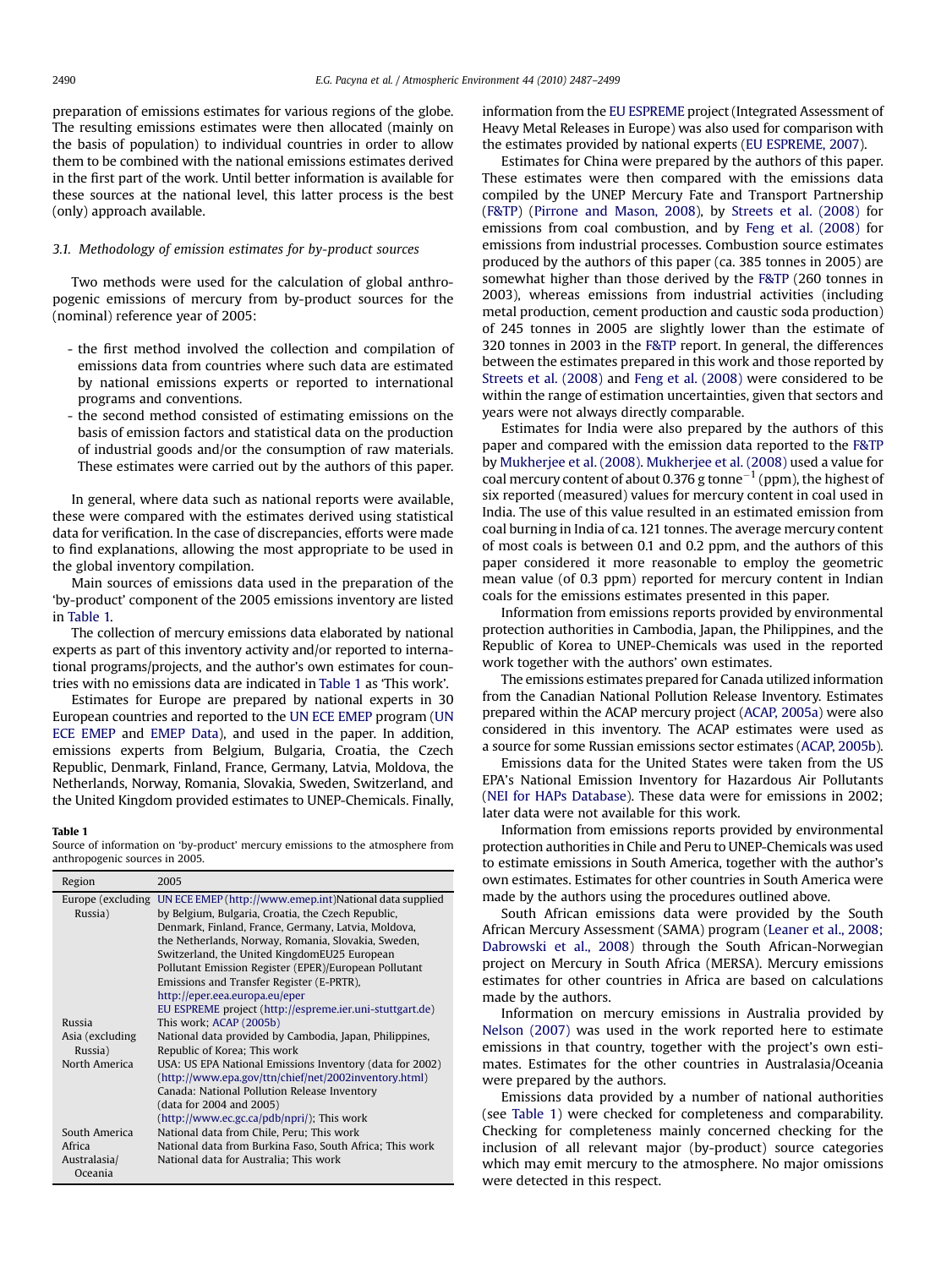preparation of emissions estimates for various regions of the globe. The resulting emissions estimates were then allocated (mainly on the basis of population) to individual countries in order to allow them to be combined with the national emissions estimates derived in the first part of the work. Until better information is available for these sources at the national level, this latter process is the best (only) approach available.

## 3.1. Methodology of emission estimates for by-product sources

Two methods were used for the calculation of global anthropogenic emissions of mercury from by-product sources for the (nominal) reference year of 2005:

- the first method involved the collection and compilation of emissions data from countries where such data are estimated by national emissions experts or reported to international programs and conventions.
- the second method consisted of estimating emissions on the basis of emission factors and statistical data on the production of industrial goods and/or the consumption of raw materials. These estimates were carried out by the authors of this paper.

In general, where data such as national reports were available, these were compared with the estimates derived using statistical data for verification. In the case of discrepancies, efforts were made to find explanations, allowing the most appropriate to be used in the global inventory compilation.

Main sources of emissions data used in the preparation of the 'by-product' component of the 2005 emissions inventory are listed in Table 1.

The collection of mercury emissions data elaborated by national experts as part of this inventory activity and/or reported to international programs/projects, and the author's own estimates for countries with no emissions data are indicated in Table 1 as 'This work'.

Estimates for Europe are prepared by national experts in 30 European countries and reported to the [UN ECE EMEP](#page-12-0) program [\(UN](#page-12-0) [ECE EMEP](#page-12-0) and [EMEP Data\)](#page-12-0), and used in the paper. In addition, emissions experts from Belgium, Bulgaria, Croatia, the Czech Republic, Denmark, Finland, France, Germany, Latvia, Moldova, the Netherlands, Norway, Romania, Slovakia, Sweden, Switzerland, and the United Kingdom provided estimates to UNEP-Chemicals. Finally,

#### Table 1

Source of information on 'by-product' mercury emissions to the atmosphere from anthropogenic sources in 2005.

| Region                                       | 2005                                                                                                                                                                                                                                                                                                                                                                                                                                                                            |
|----------------------------------------------|---------------------------------------------------------------------------------------------------------------------------------------------------------------------------------------------------------------------------------------------------------------------------------------------------------------------------------------------------------------------------------------------------------------------------------------------------------------------------------|
| Europe (excluding<br>Russia)                 | UN ECE EMEP (http://www.emep.int)National data supplied<br>by Belgium, Bulgaria, Croatia, the Czech Republic,<br>Denmark, Finland, France, Germany, Latvia, Moldova,<br>the Netherlands, Norway, Romania, Slovakia, Sweden,<br>Switzerland, the United KingdomEU25 European<br>Pollutant Emission Register (EPER)/European Pollutant<br>Emissions and Transfer Register (E-PRTR),<br>http://eper.eea.europa.eu/eper<br>EU ESPREME project (http://espreme.ier.uni-stuttgart.de) |
| Russia                                       | This work; ACAP (2005b)                                                                                                                                                                                                                                                                                                                                                                                                                                                         |
| Asia (excluding)<br>Russia)<br>North America | National data provided by Cambodia, Japan, Philippines,<br>Republic of Korea; This work<br>USA: US EPA National Emissions Inventory (data for 2002)                                                                                                                                                                                                                                                                                                                             |
|                                              | (http://www.epa.gov/ttn/chief/net/2002inventory.html)<br>Canada: National Pollution Release Inventory<br>(data for 2004 and 2005)<br>(http://www.ec.gc.ca/pdb/npri/); This work                                                                                                                                                                                                                                                                                                 |
| South America                                | National data from Chile, Peru; This work                                                                                                                                                                                                                                                                                                                                                                                                                                       |
| Africa                                       | National data from Burkina Faso, South Africa; This work                                                                                                                                                                                                                                                                                                                                                                                                                        |
| Australasia/<br>Oceania                      | National data for Australia; This work                                                                                                                                                                                                                                                                                                                                                                                                                                          |

information from the [EU ESPREME](#page-12-0) project (Integrated Assessment of Heavy Metal Releases in Europe) was also used for comparison with the estimates provided by national experts ([EU ESPREME, 2007\)](#page-12-0).

Estimates for China were prepared by the authors of this paper. These estimates were then compared with the emissions data compiled by the UNEP Mercury Fate and Transport Partnership ([F&TP\)](#page-12-0) [\(Pirrone and Mason, 2008](#page-12-0)), by [Streets et al. \(2008\)](#page-12-0) for emissions from coal combustion, and by [Feng et al. \(2008\)](#page-12-0) for emissions from industrial processes. Combustion source estimates produced by the authors of this paper (ca. 385 tonnes in 2005) are somewhat higher than those derived by the [F&TP](#page-12-0) (260 tonnes in 2003), whereas emissions from industrial activities (including metal production, cement production and caustic soda production) of 245 tonnes in 2005 are slightly lower than the estimate of 320 tonnes in 2003 in the [F&TP](#page-12-0) report. In general, the differences between the estimates prepared in this work and those reported by [Streets et al. \(2008\)](#page-12-0) and [Feng et al. \(2008\)](#page-12-0) were considered to be within the range of estimation uncertainties, given that sectors and years were not always directly comparable.

Estimates for India were also prepared by the authors of this paper and compared with the emission data reported to the [F&TP](#page-12-0) by [Mukherjee et al. \(2008\).](#page-12-0) [Mukherjee et al. \(2008\)](#page-12-0) used a value for coal mercury content of about 0.376 g tonne<sup> $-1$ </sup> (ppm), the highest of six reported (measured) values for mercury content in coal used in India. The use of this value resulted in an estimated emission from coal burning in India of ca. 121 tonnes. The average mercury content of most coals is between 0.1 and 0.2 ppm, and the authors of this paper considered it more reasonable to employ the geometric mean value (of 0.3 ppm) reported for mercury content in Indian coals for the emissions estimates presented in this paper.

Information from emissions reports provided by environmental protection authorities in Cambodia, Japan, the Philippines, and the Republic of Korea to UNEP-Chemicals was used in the reported work together with the authors' own estimates.

The emissions estimates prepared for Canada utilized information from the Canadian National Pollution Release Inventory. Estimates prepared within the ACAP mercury project ([ACAP, 2005a](#page-12-0)) were also considered in this inventory. The ACAP estimates were used as a source for some Russian emissions sector estimates [\(ACAP, 2005b](#page-12-0)).

Emissions data for the United States were taken from the US EPA's National Emission Inventory for Hazardous Air Pollutants ([NEI for HAPs Database](#page-12-0)). These data were for emissions in 2002; later data were not available for this work.

Information from emissions reports provided by environmental protection authorities in Chile and Peru to UNEP-Chemicals was used to estimate emissions in South America, together with the author's own estimates. Estimates for other countries in South America were made by the authors using the procedures outlined above.

South African emissions data were provided by the South African Mercury Assessment (SAMA) program ([Leaner et al., 2008;](#page-12-0) [Dabrowski et al., 2008\)](#page-12-0) through the South African-Norwegian project on Mercury in South Africa (MERSA). Mercury emissions estimates for other countries in Africa are based on calculations made by the authors.

Information on mercury emissions in Australia provided by [Nelson \(2007\)](#page-12-0) was used in the work reported here to estimate emissions in that country, together with the project's own estimates. Estimates for the other countries in Australasia/Oceania were prepared by the authors.

Emissions data provided by a number of national authorities (see Table 1) were checked for completeness and comparability. Checking for completeness mainly concerned checking for the inclusion of all relevant major (by-product) source categories which may emit mercury to the atmosphere. No major omissions were detected in this respect.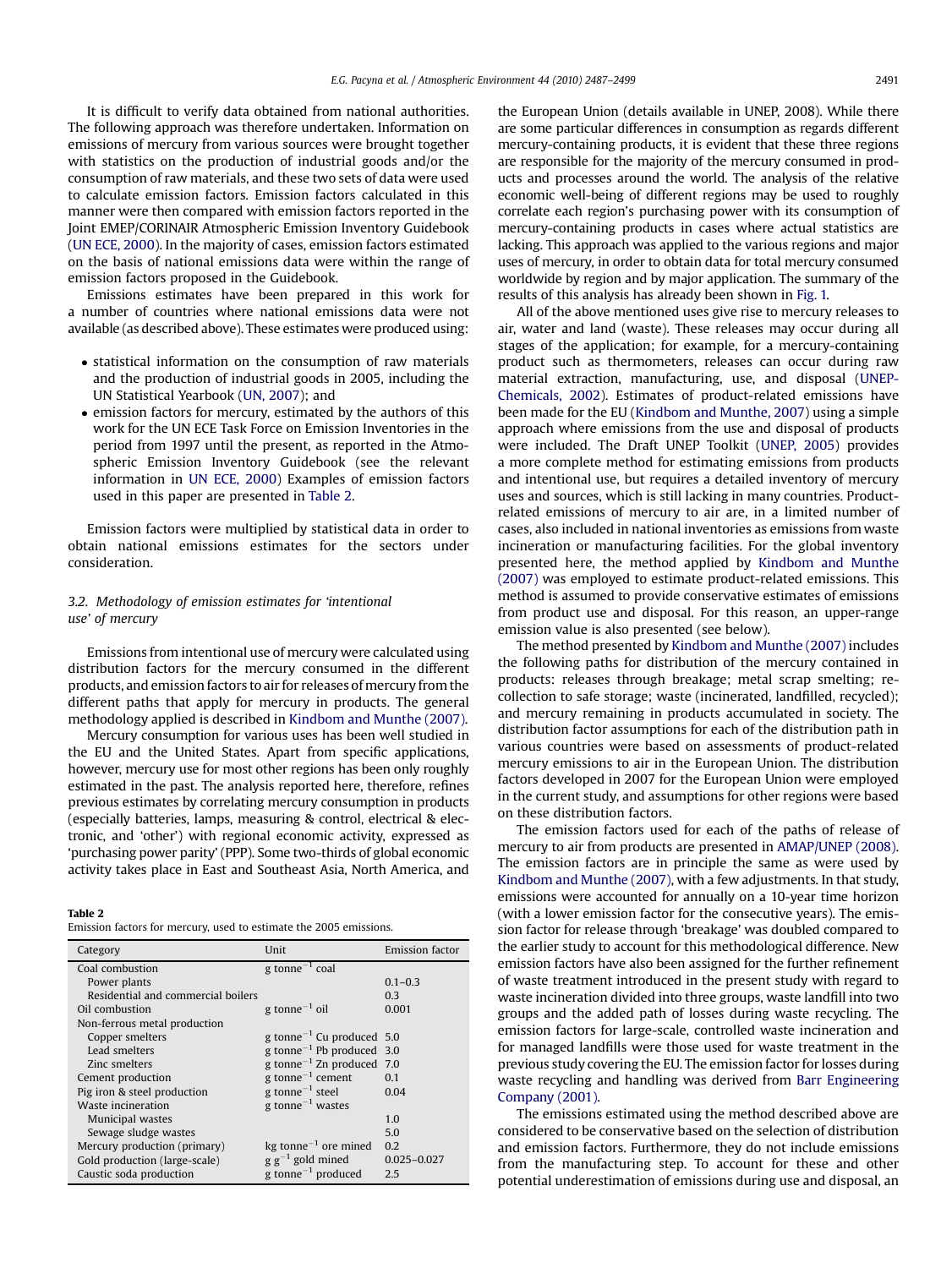It is difficult to verify data obtained from national authorities. The following approach was therefore undertaken. Information on emissions of mercury from various sources were brought together with statistics on the production of industrial goods and/or the consumption of raw materials, and these two sets of data were used to calculate emission factors. Emission factors calculated in this manner were then compared with emission factors reported in the Joint EMEP/CORINAIR Atmospheric Emission Inventory Guidebook ([UN ECE, 2000\)](#page-12-0). In the majority of cases, emission factors estimated on the basis of national emissions data were within the range of emission factors proposed in the Guidebook.

Emissions estimates have been prepared in this work for a number of countries where national emissions data were not available (as described above). These estimates were produced using:

- statistical information on the consumption of raw materials and the production of industrial goods in 2005, including the UN Statistical Yearbook [\(UN, 2007\)](#page-12-0); and
- emission factors for mercury, estimated by the authors of this work for the UN ECE Task Force on Emission Inventories in the period from 1997 until the present, as reported in the Atmospheric Emission Inventory Guidebook (see the relevant information in [UN ECE, 2000](#page-12-0)) Examples of emission factors used in this paper are presented in Table 2.

Emission factors were multiplied by statistical data in order to obtain national emissions estimates for the sectors under consideration.

# 3.2. Methodology of emission estimates for 'intentional use' of mercury

Emissions from intentional use of mercury were calculated using distribution factors for the mercury consumed in the different products, and emission factors to air for releases of mercury from the different paths that apply for mercury in products. The general methodology applied is described in [Kindbom and Munthe \(2007\)](#page-12-0).

Mercury consumption for various uses has been well studied in the EU and the United States. Apart from specific applications, however, mercury use for most other regions has been only roughly estimated in the past. The analysis reported here, therefore, refines previous estimates by correlating mercury consumption in products (especially batteries, lamps, measuring & control, electrical & electronic, and 'other') with regional economic activity, expressed as 'purchasing power parity' (PPP). Some two-thirds of global economic activity takes place in East and Southeast Asia, North America, and

#### Table 2

Emission factors for mercury, used to estimate the 2005 emissions.

| Category                           | Unit                                        | Emission factor |
|------------------------------------|---------------------------------------------|-----------------|
| Coal combustion                    | g tonne <sup><math>-1</math></sup> coal     |                 |
| Power plants                       |                                             | $0.1 - 0.3$     |
| Residential and commercial boilers |                                             | 0.3             |
| Oil combustion                     | g tonne <sup><math>-1</math></sup> oil      | 0.001           |
| Non-ferrous metal production       |                                             |                 |
| Copper smelters                    | g tonne <sup>-1</sup> Cu produced 5.0       |                 |
| Lead smelters                      | g tonne <sup>-1</sup> Pb produced 3.0       |                 |
| Zinc smelters                      | g tonne <sup>-1</sup> Zn produced 7.0       |                 |
| Cement production                  | g tonne <sup><math>-1</math></sup> cement   | 0.1             |
| Pig iron & steel production        | g tonne <sup><math>-1</math></sup> steel    | 0.04            |
| Waste incineration                 | g tonne <sup><math>-1</math></sup> wastes   |                 |
| Municipal wastes                   |                                             | 1.0             |
| Sewage sludge wastes               |                                             | 5.0             |
| Mercury production (primary)       | $kg$ tonne <sup>-1</sup> ore mined          | 0.2             |
| Gold production (large-scale)      | $g g^{-1}$ gold mined                       | $0.025 - 0.027$ |
| Caustic soda production            | g tonne <sup><math>-1</math></sup> produced | 2.5             |

the European Union (details available in UNEP, 2008). While there are some particular differences in consumption as regards different mercury-containing products, it is evident that these three regions are responsible for the majority of the mercury consumed in products and processes around the world. The analysis of the relative economic well-being of different regions may be used to roughly correlate each region's purchasing power with its consumption of mercury-containing products in cases where actual statistics are lacking. This approach was applied to the various regions and major uses of mercury, in order to obtain data for total mercury consumed worldwide by region and by major application. The summary of the results of this analysis has already been shown in [Fig. 1.](#page-1-0)

All of the above mentioned uses give rise to mercury releases to air, water and land (waste). These releases may occur during all stages of the application; for example, for a mercury-containing product such as thermometers, releases can occur during raw material extraction, manufacturing, use, and disposal [\(UNEP-](#page-12-0)[Chemicals, 2002\)](#page-12-0). Estimates of product-related emissions have been made for the EU ([Kindbom and Munthe, 2007\)](#page-12-0) using a simple approach where emissions from the use and disposal of products were included. The Draft UNEP Toolkit [\(UNEP, 2005](#page-12-0)) provides a more complete method for estimating emissions from products and intentional use, but requires a detailed inventory of mercury uses and sources, which is still lacking in many countries. Productrelated emissions of mercury to air are, in a limited number of cases, also included in national inventories as emissions from waste incineration or manufacturing facilities. For the global inventory presented here, the method applied by [Kindbom and Munthe](#page-12-0) [\(2007\)](#page-12-0) was employed to estimate product-related emissions. This method is assumed to provide conservative estimates of emissions from product use and disposal. For this reason, an upper-range emission value is also presented (see below).

The method presented by [Kindbom and Munthe \(2007\)](#page-12-0) includes the following paths for distribution of the mercury contained in products: releases through breakage; metal scrap smelting; recollection to safe storage; waste (incinerated, landfilled, recycled); and mercury remaining in products accumulated in society. The distribution factor assumptions for each of the distribution path in various countries were based on assessments of product-related mercury emissions to air in the European Union. The distribution factors developed in 2007 for the European Union were employed in the current study, and assumptions for other regions were based on these distribution factors.

The emission factors used for each of the paths of release of mercury to air from products are presented in [AMAP/UNEP \(2008\).](#page-12-0) The emission factors are in principle the same as were used by [Kindbom and Munthe \(2007\),](#page-12-0) with a few adjustments. In that study, emissions were accounted for annually on a 10-year time horizon (with a lower emission factor for the consecutive years). The emission factor for release through 'breakage' was doubled compared to the earlier study to account for this methodological difference. New emission factors have also been assigned for the further refinement of waste treatment introduced in the present study with regard to waste incineration divided into three groups, waste landfill into two groups and the added path of losses during waste recycling. The emission factors for large-scale, controlled waste incineration and for managed landfills were those used for waste treatment in the previous study covering the EU. The emission factor for losses during waste recycling and handling was derived from [Barr Engineering](#page-12-0) [Company \(2001\).](#page-12-0)

The emissions estimated using the method described above are considered to be conservative based on the selection of distribution and emission factors. Furthermore, they do not include emissions from the manufacturing step. To account for these and other potential underestimation of emissions during use and disposal, an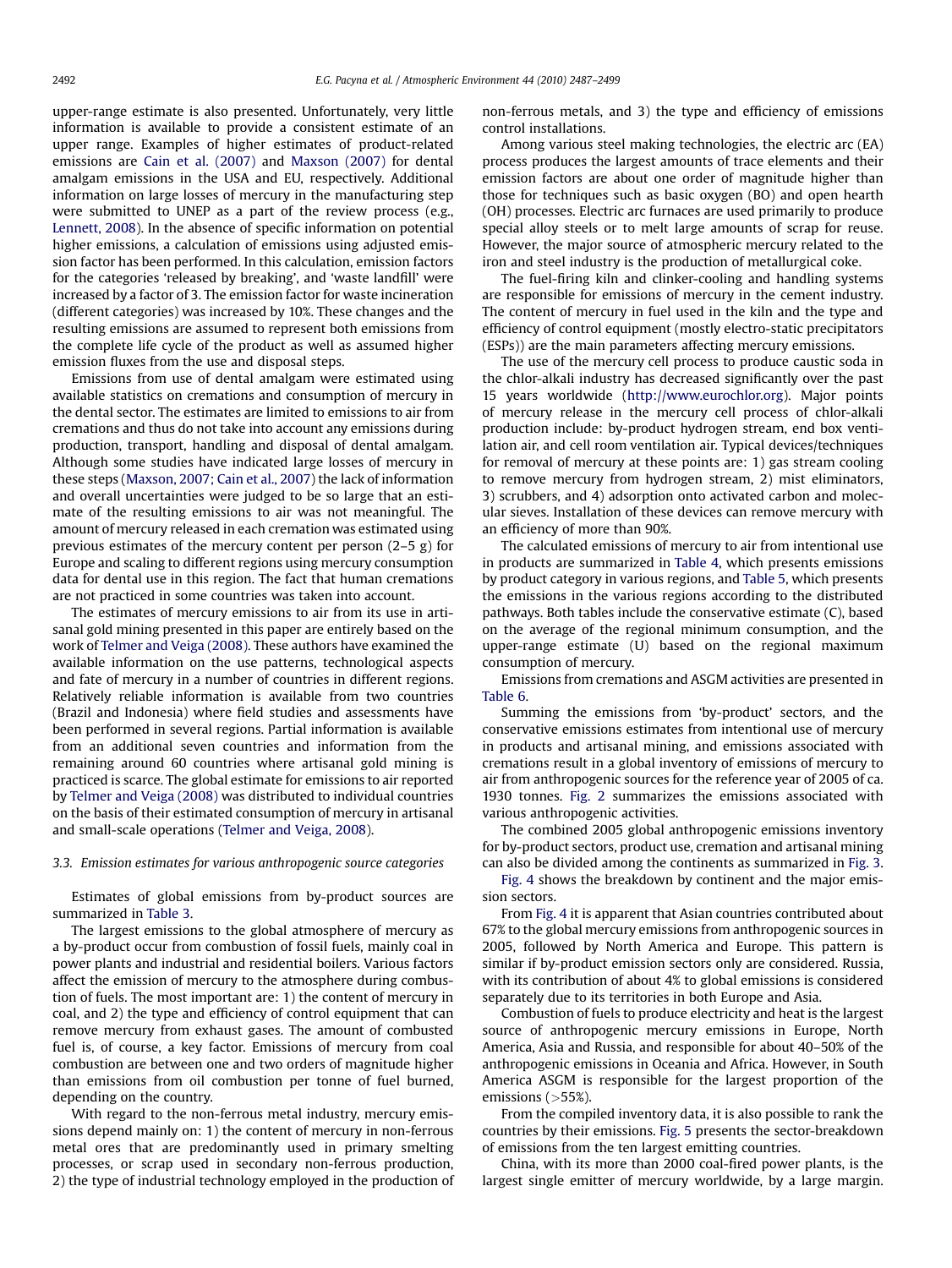upper-range estimate is also presented. Unfortunately, very little information is available to provide a consistent estimate of an upper range. Examples of higher estimates of product-related emissions are [Cain et al. \(2007\)](#page-12-0) and [Maxson \(2007\)](#page-12-0) for dental amalgam emissions in the USA and EU, respectively. Additional information on large losses of mercury in the manufacturing step were submitted to UNEP as a part of the review process (e.g., [Lennett, 2008](#page-12-0)). In the absence of specific information on potential higher emissions, a calculation of emissions using adjusted emission factor has been performed. In this calculation, emission factors for the categories 'released by breaking', and 'waste landfill' were increased by a factor of 3. The emission factor for waste incineration (different categories) was increased by 10%. These changes and the resulting emissions are assumed to represent both emissions from the complete life cycle of the product as well as assumed higher emission fluxes from the use and disposal steps.

Emissions from use of dental amalgam were estimated using available statistics on cremations and consumption of mercury in the dental sector. The estimates are limited to emissions to air from cremations and thus do not take into account any emissions during production, transport, handling and disposal of dental amalgam. Although some studies have indicated large losses of mercury in these steps ([Maxson, 2007; Cain et al., 2007](#page-12-0)) the lack of information and overall uncertainties were judged to be so large that an estimate of the resulting emissions to air was not meaningful. The amount of mercury released in each cremation was estimated using previous estimates of the mercury content per person (2–5 g) for Europe and scaling to different regions using mercury consumption data for dental use in this region. The fact that human cremations are not practiced in some countries was taken into account.

The estimates of mercury emissions to air from its use in artisanal gold mining presented in this paper are entirely based on the work of [Telmer and Veiga \(2008\)](#page-12-0). These authors have examined the available information on the use patterns, technological aspects and fate of mercury in a number of countries in different regions. Relatively reliable information is available from two countries (Brazil and Indonesia) where field studies and assessments have been performed in several regions. Partial information is available from an additional seven countries and information from the remaining around 60 countries where artisanal gold mining is practiced is scarce. The global estimate for emissions to air reported by [Telmer and Veiga \(2008\)](#page-12-0) was distributed to individual countries on the basis of their estimated consumption of mercury in artisanal and small-scale operations ([Telmer and Veiga, 2008](#page-12-0)).

# 3.3. Emission estimates for various anthropogenic source categories

Estimates of global emissions from by-product sources are summarized in [Table 3](#page-6-0).

The largest emissions to the global atmosphere of mercury as a by-product occur from combustion of fossil fuels, mainly coal in power plants and industrial and residential boilers. Various factors affect the emission of mercury to the atmosphere during combustion of fuels. The most important are: 1) the content of mercury in coal, and 2) the type and efficiency of control equipment that can remove mercury from exhaust gases. The amount of combusted fuel is, of course, a key factor. Emissions of mercury from coal combustion are between one and two orders of magnitude higher than emissions from oil combustion per tonne of fuel burned, depending on the country.

With regard to the non-ferrous metal industry, mercury emissions depend mainly on: 1) the content of mercury in non-ferrous metal ores that are predominantly used in primary smelting processes, or scrap used in secondary non-ferrous production, 2) the type of industrial technology employed in the production of non-ferrous metals, and 3) the type and efficiency of emissions control installations.

Among various steel making technologies, the electric arc (EA) process produces the largest amounts of trace elements and their emission factors are about one order of magnitude higher than those for techniques such as basic oxygen (BO) and open hearth (OH) processes. Electric arc furnaces are used primarily to produce special alloy steels or to melt large amounts of scrap for reuse. However, the major source of atmospheric mercury related to the iron and steel industry is the production of metallurgical coke.

The fuel-firing kiln and clinker-cooling and handling systems are responsible for emissions of mercury in the cement industry. The content of mercury in fuel used in the kiln and the type and efficiency of control equipment (mostly electro-static precipitators (ESPs)) are the main parameters affecting mercury emissions.

The use of the mercury cell process to produce caustic soda in the chlor-alkali industry has decreased significantly over the past 15 years worldwide (<http://www.eurochlor.org>). Major points of mercury release in the mercury cell process of chlor-alkali production include: by-product hydrogen stream, end box ventilation air, and cell room ventilation air. Typical devices/techniques for removal of mercury at these points are: 1) gas stream cooling to remove mercury from hydrogen stream, 2) mist eliminators, 3) scrubbers, and 4) adsorption onto activated carbon and molecular sieves. Installation of these devices can remove mercury with an efficiency of more than 90%.

The calculated emissions of mercury to air from intentional use in products are summarized in [Table 4,](#page-6-0) which presents emissions by product category in various regions, and [Table 5,](#page-6-0) which presents the emissions in the various regions according to the distributed pathways. Both tables include the conservative estimate (C), based on the average of the regional minimum consumption, and the upper-range estimate (U) based on the regional maximum consumption of mercury.

Emissions from cremations and ASGM activities are presented in [Table 6.](#page-7-0)

Summing the emissions from 'by-product' sectors, and the conservative emissions estimates from intentional use of mercury in products and artisanal mining, and emissions associated with cremations result in a global inventory of emissions of mercury to air from anthropogenic sources for the reference year of 2005 of ca. 1930 tonnes. [Fig. 2](#page-7-0) summarizes the emissions associated with various anthropogenic activities.

The combined 2005 global anthropogenic emissions inventory for by-product sectors, product use, cremation and artisanal mining can also be divided among the continents as summarized in [Fig. 3.](#page-7-0)

[Fig. 4](#page-7-0) shows the breakdown by continent and the major emission sectors.

From [Fig. 4](#page-7-0) it is apparent that Asian countries contributed about 67% to the global mercury emissions from anthropogenic sources in 2005, followed by North America and Europe. This pattern is similar if by-product emission sectors only are considered. Russia, with its contribution of about 4% to global emissions is considered separately due to its territories in both Europe and Asia.

Combustion of fuels to produce electricity and heat is the largest source of anthropogenic mercury emissions in Europe, North America, Asia and Russia, and responsible for about 40–50% of the anthropogenic emissions in Oceania and Africa. However, in South America ASGM is responsible for the largest proportion of the emissions (>55%).

From the compiled inventory data, it is also possible to rank the countries by their emissions. [Fig. 5](#page-8-0) presents the sector-breakdown of emissions from the ten largest emitting countries.

China, with its more than 2000 coal-fired power plants, is the largest single emitter of mercury worldwide, by a large margin.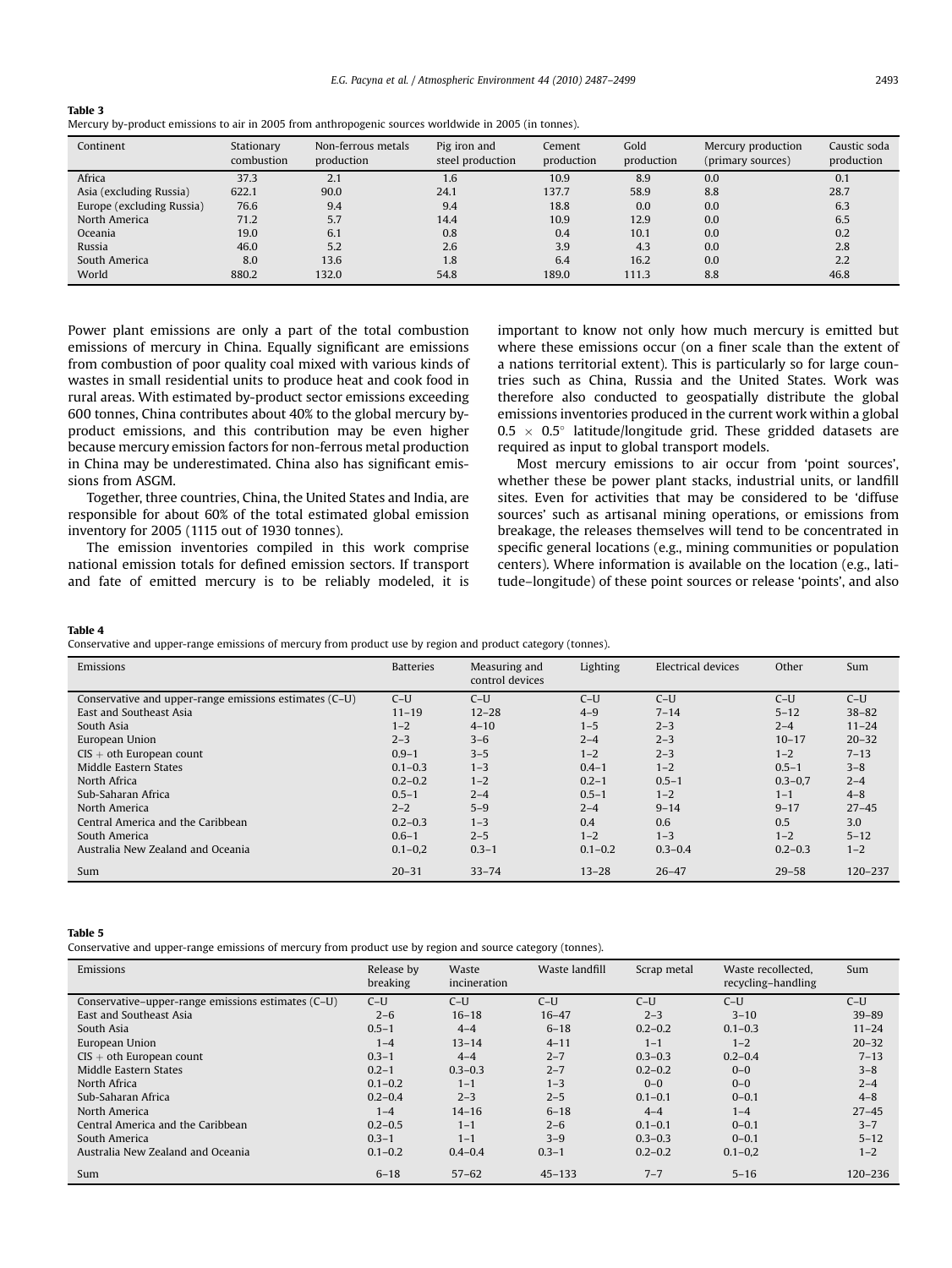<span id="page-6-0"></span>

| Table 3                                                                                               |
|-------------------------------------------------------------------------------------------------------|
| Mercury by-product emissions to air in 2005 from anthropogenic sources worldwide in 2005 (in tonnes). |

| Continent                 | Stationary<br>combustion | Non-ferrous metals<br>production | Pig iron and<br>steel production | Cement<br>production | Gold<br>production | Mercury production<br>(primary sources) | Caustic soda<br>production |
|---------------------------|--------------------------|----------------------------------|----------------------------------|----------------------|--------------------|-----------------------------------------|----------------------------|
| Africa                    | 37.3                     | 2.1                              | 1.6                              | 10.9                 | 8.9                | 0.0                                     | 0.1                        |
| Asia (excluding Russia)   | 622.1                    | 90.0                             | 24.1                             | 137.7                | 58.9               | 8.8                                     | 28.7                       |
| Europe (excluding Russia) | 76.6                     | 9.4                              | 9.4                              | 18.8                 | 0.0                | 0.0                                     | 6.3                        |
| North America             | 71.2                     | 5.7                              | 14.4                             | 10.9                 | 12.9               | 0.0                                     | 6.5                        |
| Oceania                   | 19.0                     | 6.1                              | 0.8                              | 0.4                  | 10.1               | 0.0                                     | 0.2                        |
| Russia                    | 46.0                     | 5.2                              | 2.6                              | 3.9                  | 4.3                | 0.0                                     | 2.8                        |
| South America             | 8.0                      | 13.6                             | 1.8                              | 6.4                  | 16.2               | 0.0                                     | 2.2                        |
| World                     | 880.2                    | 132.0                            | 54.8                             | 189.0                | 111.3              | 8.8                                     | 46.8                       |

Power plant emissions are only a part of the total combustion emissions of mercury in China. Equally significant are emissions from combustion of poor quality coal mixed with various kinds of wastes in small residential units to produce heat and cook food in rural areas. With estimated by-product sector emissions exceeding 600 tonnes, China contributes about 40% to the global mercury byproduct emissions, and this contribution may be even higher because mercury emission factors for non-ferrous metal production in China may be underestimated. China also has significant emissions from ASGM.

Together, three countries, China, the United States and India, are responsible for about 60% of the total estimated global emission inventory for 2005 (1115 out of 1930 tonnes).

The emission inventories compiled in this work comprise national emission totals for defined emission sectors. If transport and fate of emitted mercury is to be reliably modeled, it is important to know not only how much mercury is emitted but where these emissions occur (on a finer scale than the extent of a nations territorial extent). This is particularly so for large countries such as China, Russia and the United States. Work was therefore also conducted to geospatially distribute the global emissions inventories produced in the current work within a global  $0.5 \times 0.5^{\circ}$  latitude/longitude grid. These gridded datasets are required as input to global transport models.

Most mercury emissions to air occur from 'point sources', whether these be power plant stacks, industrial units, or landfill sites. Even for activities that may be considered to be 'diffuse sources' such as artisanal mining operations, or emissions from breakage, the releases themselves will tend to be concentrated in specific general locations (e.g., mining communities or population centers). Where information is available on the location (e.g., latitude–longitude) of these point sources or release 'points', and also

# Table 4

Conservative and upper-range emissions of mercury from product use by region and product category (tonnes).

| Emissions                                              | <b>Batteries</b> | Measuring and<br>control devices | Lighting    | Electrical devices | Other       | Sum       |
|--------------------------------------------------------|------------------|----------------------------------|-------------|--------------------|-------------|-----------|
| Conservative and upper-range emissions estimates (C-U) | $C-U$            | $C-U$                            | $C-U$       | $C-U$              | $C-U$       | $C-U$     |
| East and Southeast Asia                                | $11 - 19$        | $12 - 28$                        | $4 - 9$     | $7 - 14$           | $5 - 12$    | $38 - 82$ |
| South Asia                                             | $1 - 2$          | $4 - 10$                         | $1 - 5$     | $2 - 3$            | $2 - 4$     | $11 - 24$ |
| European Union                                         | $2 - 3$          | $3 - 6$                          | $2 - 4$     | $2 - 3$            | $10 - 17$   | $20 - 32$ |
| $CIS + oth$ European count                             | $0.9 - 1$        | $3 - 5$                          | $1 - 2$     | $2 - 3$            | $1 - 2$     | $7 - 13$  |
| Middle Eastern States                                  | $0.1 - 0.3$      | $1 - 3$                          | $0.4 - 1$   | $1 - 2$            | $0.5 - 1$   | $3 - 8$   |
| North Africa                                           | $0.2 - 0.2$      | $1 - 2$                          | $0.2 - 1$   | $0.5 - 1$          | $0.3 - 0.7$ | $2 - 4$   |
| Sub-Saharan Africa                                     | $0.5 - 1$        | $2 - 4$                          | $0.5 - 1$   | $1 - 2$            | $1 - 1$     | $4 - 8$   |
| North America                                          | $2 - 2$          | $5 - 9$                          | $2 - 4$     | $9 - 14$           | $9 - 17$    | $27 - 45$ |
| Central America and the Caribbean                      | $0.2 - 0.3$      | $1 - 3$                          | 0.4         | 0.6                | 0.5         | 3.0       |
| South America                                          | $0.6 - 1$        | $2 - 5$                          | $1 - 2$     | $1 - 3$            | $1 - 2$     | $5 - 12$  |
| Australia New Zealand and Oceania                      | $0.1 - 0.2$      | $0.3 - 1$                        | $0.1 - 0.2$ | $0.3 - 0.4$        | $0.2 - 0.3$ | $1 - 2$   |
| Sum                                                    | $20 - 31$        | $33 - 74$                        | $13 - 28$   | $26 - 47$          | $29 - 58$   | 120-237   |

#### Table 5

Conservative and upper-range emissions of mercury from product use by region and source category (tonnes).

| Emissions                                          | Release by<br>breaking | Waste<br>incineration | Waste landfill | Scrap metal | Waste recollected.<br>recycling-handling | Sum         |
|----------------------------------------------------|------------------------|-----------------------|----------------|-------------|------------------------------------------|-------------|
| Conservative-upper-range emissions estimates (C-U) | $C-U$                  | $C-U$                 | $C-U$          | $C-U$       | $C-U$                                    | $C-U$       |
| East and Southeast Asia                            | $2 - 6$                | $16 - 18$             | $16 - 47$      | $2 - 3$     | $3 - 10$                                 | $39 - 89$   |
| South Asia                                         | $0.5 - 1$              | $4 - 4$               | $6 - 18$       | $0.2 - 0.2$ | $0.1 - 0.3$                              | $11 - 24$   |
| European Union                                     | $1 - 4$                | $13 - 14$             | $4 - 11$       | $1 - 1$     | $1 - 2$                                  | $20 - 32$   |
| $CIS + oth$ European count                         | $0.3 - 1$              | $4 - 4$               | $2 - 7$        | $0.3 - 0.3$ | $0.2 - 0.4$                              | $7 - 13$    |
| Middle Eastern States                              | $0.2 - 1$              | $0.3 - 0.3$           | $2 - 7$        | $0.2 - 0.2$ | $0 - 0$                                  | $3 - 8$     |
| North Africa                                       | $0.1 - 0.2$            | $1 - 1$               | $1 - 3$        | $0 - 0$     | $0 - 0$                                  | $2 - 4$     |
| Sub-Saharan Africa                                 | $0.2 - 0.4$            | $2 - 3$               | $2 - 5$        | $0.1 - 0.1$ | $0 - 0.1$                                | $4 - 8$     |
| North America                                      | $1 - 4$                | $14 - 16$             | $6 - 18$       | $4 - 4$     | $1 - 4$                                  | $27 - 45$   |
| Central America and the Caribbean                  | $0.2 - 0.5$            | $1 - 1$               | $2 - 6$        | $0.1 - 0.1$ | $0 - 0.1$                                | $3 - 7$     |
| South America                                      | $0.3 - 1$              | $1 - 1$               | $3 - 9$        | $0.3 - 0.3$ | $0 - 0.1$                                | $5 - 12$    |
| Australia New Zealand and Oceania                  | $0.1 - 0.2$            | $0.4 - 0.4$           | $0.3 - 1$      | $0.2 - 0.2$ | $0.1 - 0.2$                              | $1 - 2$     |
| Sum                                                | $6 - 18$               | $57 - 62$             | $45 - 133$     | $7 - 7$     | $5 - 16$                                 | $120 - 236$ |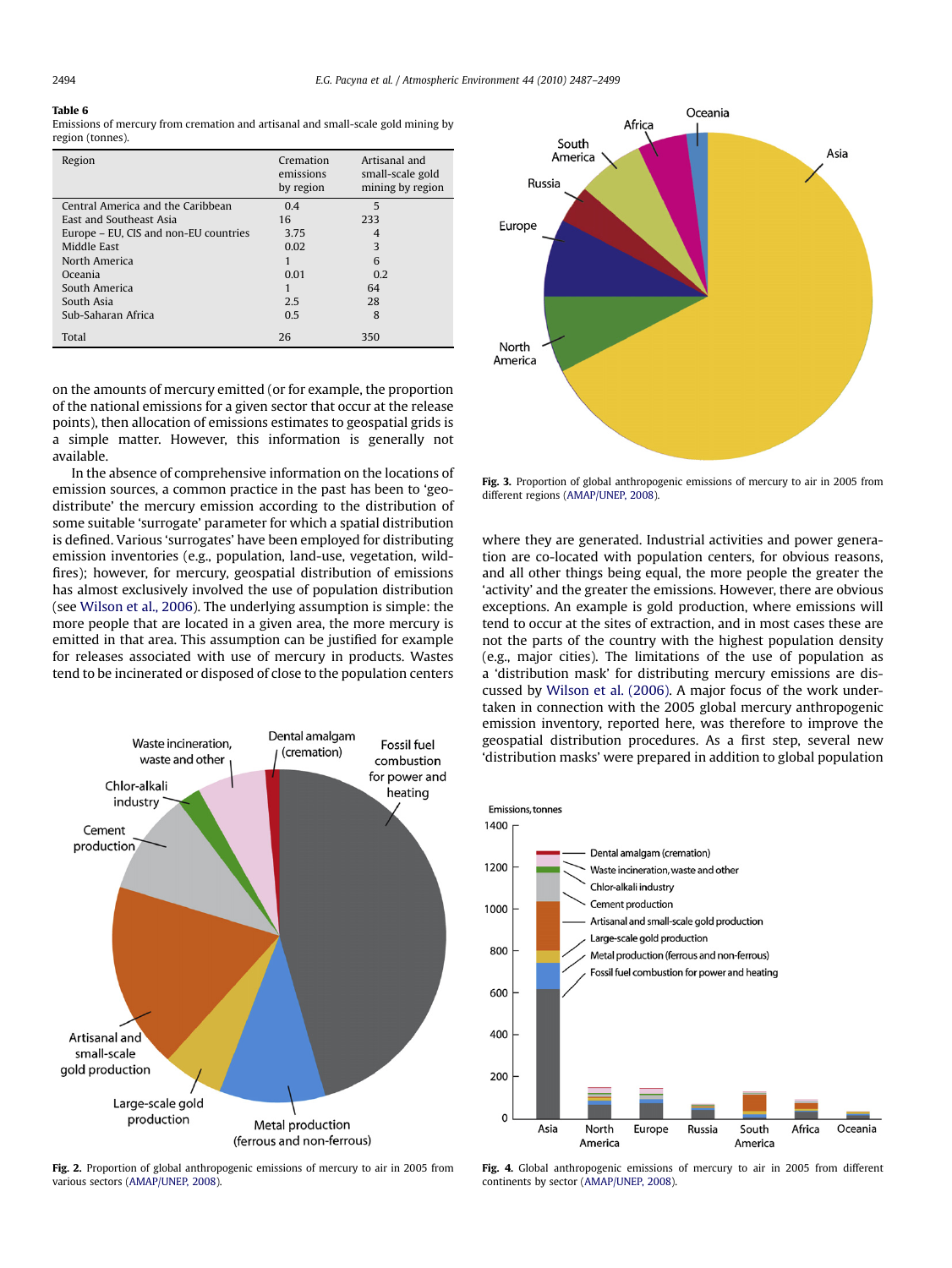#### <span id="page-7-0"></span>Table 6

Emissions of mercury from cremation and artisanal and small-scale gold mining by region (tonnes).

| Region                                | Cremation<br>emissions<br>by region | Artisanal and<br>small-scale gold<br>mining by region |
|---------------------------------------|-------------------------------------|-------------------------------------------------------|
| Central America and the Caribbean     | 0.4                                 | 5                                                     |
| East and Southeast Asia               | 16                                  | 233                                                   |
| Europe – EU, CIS and non-EU countries | 3.75                                |                                                       |
| Middle East                           | 0.02                                | 3                                                     |
| North America                         |                                     | 6                                                     |
| Oceania                               | 0.01                                | 02                                                    |
| South America                         |                                     | 64                                                    |
| South Asia                            | 2.5                                 | 28                                                    |
| Sub-Saharan Africa                    | 0.5                                 | 8                                                     |
| Total                                 | 26                                  | 350                                                   |

on the amounts of mercury emitted (or for example, the proportion of the national emissions for a given sector that occur at the release points), then allocation of emissions estimates to geospatial grids is a simple matter. However, this information is generally not available.

In the absence of comprehensive information on the locations of emission sources, a common practice in the past has been to 'geodistribute' the mercury emission according to the distribution of some suitable 'surrogate' parameter for which a spatial distribution is defined. Various 'surrogates' have been employed for distributing emission inventories (e.g., population, land-use, vegetation, wildfires); however, for mercury, geospatial distribution of emissions has almost exclusively involved the use of population distribution (see [Wilson et al., 2006\)](#page-12-0). The underlying assumption is simple: the more people that are located in a given area, the more mercury is emitted in that area. This assumption can be justified for example for releases associated with use of mercury in products. Wastes tend to be incinerated or disposed of close to the population centers



Fig. 2. Proportion of global anthropogenic emissions of mercury to air in 2005 from various sectors ([AMAP/UNEP, 2008](#page-12-0)).



Fig. 3. Proportion of global anthropogenic emissions of mercury to air in 2005 from different regions ([AMAP/UNEP, 2008](#page-12-0)).

where they are generated. Industrial activities and power generation are co-located with population centers, for obvious reasons, and all other things being equal, the more people the greater the 'activity' and the greater the emissions. However, there are obvious exceptions. An example is gold production, where emissions will tend to occur at the sites of extraction, and in most cases these are not the parts of the country with the highest population density (e.g., major cities). The limitations of the use of population as a 'distribution mask' for distributing mercury emissions are discussed by [Wilson et al. \(2006\).](#page-12-0) A major focus of the work undertaken in connection with the 2005 global mercury anthropogenic emission inventory, reported here, was therefore to improve the geospatial distribution procedures. As a first step, several new 'distribution masks' were prepared in addition to global population



Fig. 4. Global anthropogenic emissions of mercury to air in 2005 from different continents by sector ([AMAP/UNEP, 2008](#page-12-0)).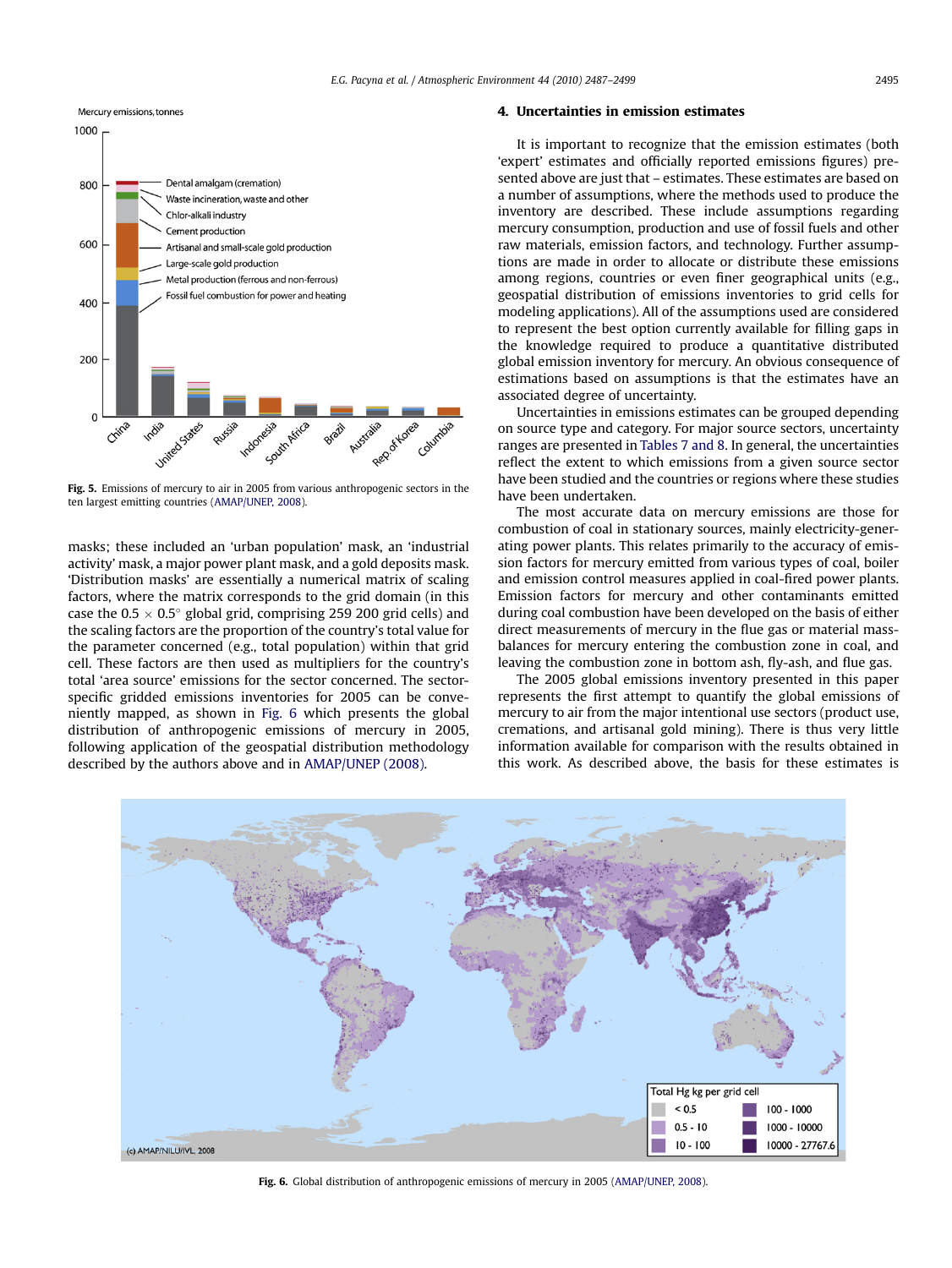#### <span id="page-8-0"></span>Mercury emissions, tonnes



Fig. 5. Emissions of mercury to air in 2005 from various anthropogenic sectors in the ten largest emitting countries [\(AMAP/UNEP, 2008\)](#page-12-0).

masks; these included an 'urban population' mask, an 'industrial activity' mask, a major power plant mask, and a gold deposits mask. 'Distribution masks' are essentially a numerical matrix of scaling factors, where the matrix corresponds to the grid domain (in this case the  $0.5 \times 0.5^{\circ}$  global grid, comprising 259 200 grid cells) and the scaling factors are the proportion of the country's total value for the parameter concerned (e.g., total population) within that grid cell. These factors are then used as multipliers for the country's total 'area source' emissions for the sector concerned. The sectorspecific gridded emissions inventories for 2005 can be conveniently mapped, as shown in Fig. 6 which presents the global distribution of anthropogenic emissions of mercury in 2005, following application of the geospatial distribution methodology described by the authors above and in [AMAP/UNEP \(2008\)](#page-12-0).

## 4. Uncertainties in emission estimates

It is important to recognize that the emission estimates (both 'expert' estimates and officially reported emissions figures) presented above are just that – estimates. These estimates are based on a number of assumptions, where the methods used to produce the inventory are described. These include assumptions regarding mercury consumption, production and use of fossil fuels and other raw materials, emission factors, and technology. Further assumptions are made in order to allocate or distribute these emissions among regions, countries or even finer geographical units (e.g., geospatial distribution of emissions inventories to grid cells for modeling applications). All of the assumptions used are considered to represent the best option currently available for filling gaps in the knowledge required to produce a quantitative distributed global emission inventory for mercury. An obvious consequence of estimations based on assumptions is that the estimates have an associated degree of uncertainty.

Uncertainties in emissions estimates can be grouped depending on source type and category. For major source sectors, uncertainty ranges are presented in [Tables 7 and 8.](#page-9-0) In general, the uncertainties reflect the extent to which emissions from a given source sector have been studied and the countries or regions where these studies have been undertaken.

The most accurate data on mercury emissions are those for combustion of coal in stationary sources, mainly electricity-generating power plants. This relates primarily to the accuracy of emission factors for mercury emitted from various types of coal, boiler and emission control measures applied in coal-fired power plants. Emission factors for mercury and other contaminants emitted during coal combustion have been developed on the basis of either direct measurements of mercury in the flue gas or material massbalances for mercury entering the combustion zone in coal, and leaving the combustion zone in bottom ash, fly-ash, and flue gas.

The 2005 global emissions inventory presented in this paper represents the first attempt to quantify the global emissions of mercury to air from the major intentional use sectors (product use, cremations, and artisanal gold mining). There is thus very little information available for comparison with the results obtained in this work. As described above, the basis for these estimates is



Fig. 6. Global distribution of anthropogenic emissions of mercury in 2005 ([AMAP/UNEP, 2008](#page-12-0)).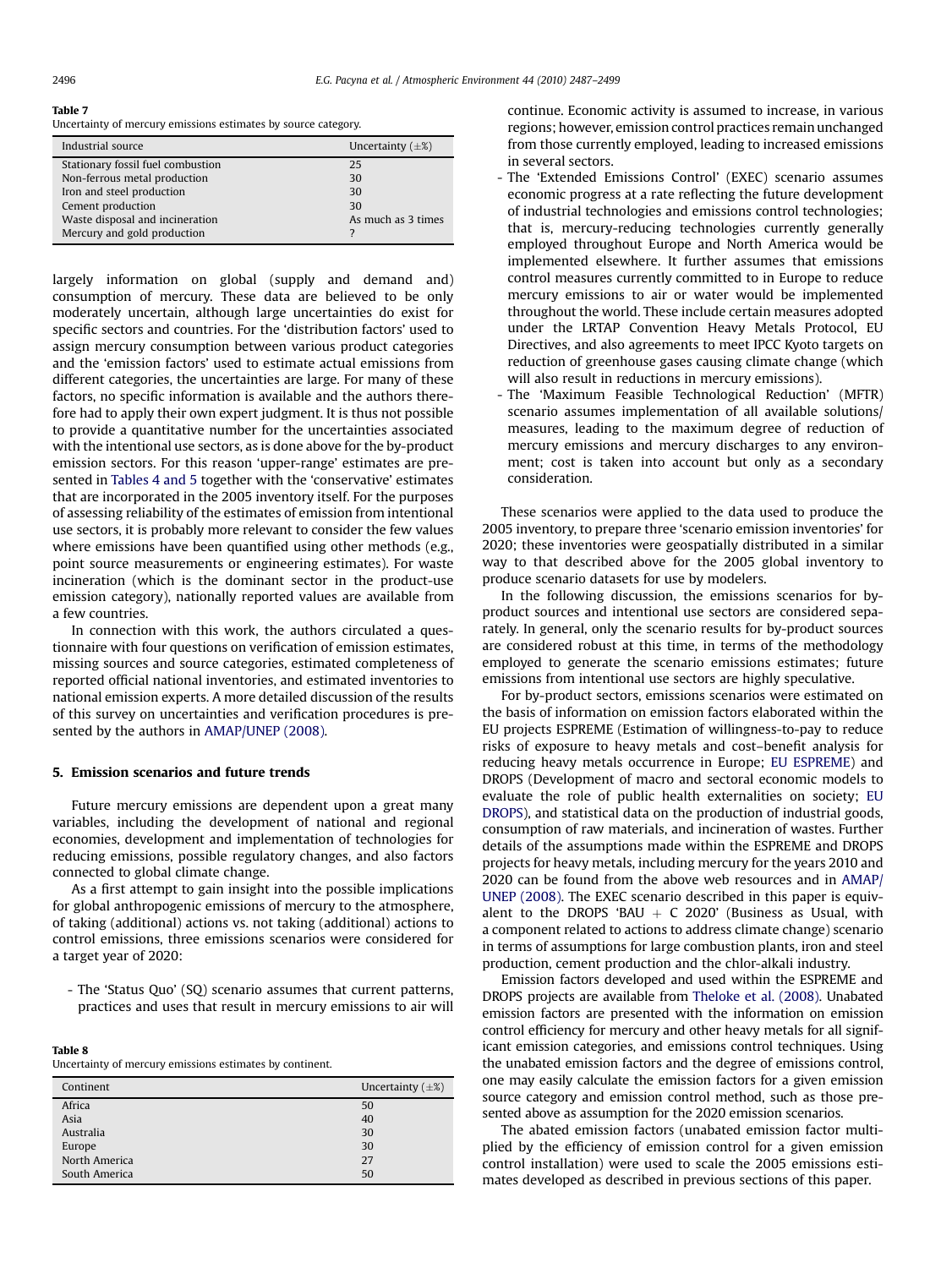# <span id="page-9-0"></span>Table 7

Uncertainty of mercury emissions estimates by source category.

| Industrial source                 | Uncertainty $(\pm\%)$ |
|-----------------------------------|-----------------------|
| Stationary fossil fuel combustion | 25                    |
| Non-ferrous metal production      | 30                    |
| Iron and steel production         | 30                    |
| Cement production                 | 30                    |
| Waste disposal and incineration   | As much as 3 times    |
| Mercury and gold production       |                       |

largely information on global (supply and demand and) consumption of mercury. These data are believed to be only moderately uncertain, although large uncertainties do exist for specific sectors and countries. For the 'distribution factors' used to assign mercury consumption between various product categories and the 'emission factors' used to estimate actual emissions from different categories, the uncertainties are large. For many of these factors, no specific information is available and the authors therefore had to apply their own expert judgment. It is thus not possible to provide a quantitative number for the uncertainties associated with the intentional use sectors, as is done above for the by-product emission sectors. For this reason 'upper-range' estimates are presented in [Tables 4 and 5](#page-6-0) together with the 'conservative' estimates that are incorporated in the 2005 inventory itself. For the purposes of assessing reliability of the estimates of emission from intentional use sectors, it is probably more relevant to consider the few values where emissions have been quantified using other methods (e.g., point source measurements or engineering estimates). For waste incineration (which is the dominant sector in the product-use emission category), nationally reported values are available from a few countries.

In connection with this work, the authors circulated a questionnaire with four questions on verification of emission estimates, missing sources and source categories, estimated completeness of reported official national inventories, and estimated inventories to national emission experts. A more detailed discussion of the results of this survey on uncertainties and verification procedures is presented by the authors in [AMAP/UNEP \(2008\)](#page-12-0).

## 5. Emission scenarios and future trends

Future mercury emissions are dependent upon a great many variables, including the development of national and regional economies, development and implementation of technologies for reducing emissions, possible regulatory changes, and also factors connected to global climate change.

As a first attempt to gain insight into the possible implications for global anthropogenic emissions of mercury to the atmosphere, of taking (additional) actions vs. not taking (additional) actions to control emissions, three emissions scenarios were considered for a target year of 2020:

- The 'Status Quo' (SQ) scenario assumes that current patterns, practices and uses that result in mercury emissions to air will

Table 8

Uncertainty of mercury emissions estimates by continent.

| Continent     | Uncertainty $(\pm\%)$ |  |  |
|---------------|-----------------------|--|--|
| Africa        | 50                    |  |  |
| Asia          | 40                    |  |  |
| Australia     | 30                    |  |  |
| Europe        | 30                    |  |  |
| North America | 27                    |  |  |
| South America | 50                    |  |  |

continue. Economic activity is assumed to increase, in various regions; however, emission control practices remain unchanged from those currently employed, leading to increased emissions in several sectors.

- The 'Extended Emissions Control' (EXEC) scenario assumes economic progress at a rate reflecting the future development of industrial technologies and emissions control technologies; that is, mercury-reducing technologies currently generally employed throughout Europe and North America would be implemented elsewhere. It further assumes that emissions control measures currently committed to in Europe to reduce mercury emissions to air or water would be implemented throughout the world. These include certain measures adopted under the LRTAP Convention Heavy Metals Protocol, EU Directives, and also agreements to meet IPCC Kyoto targets on reduction of greenhouse gases causing climate change (which will also result in reductions in mercury emissions).
- The 'Maximum Feasible Technological Reduction' (MFTR) scenario assumes implementation of all available solutions/ measures, leading to the maximum degree of reduction of mercury emissions and mercury discharges to any environment; cost is taken into account but only as a secondary consideration.

These scenarios were applied to the data used to produce the 2005 inventory, to prepare three 'scenario emission inventories' for 2020; these inventories were geospatially distributed in a similar way to that described above for the 2005 global inventory to produce scenario datasets for use by modelers.

In the following discussion, the emissions scenarios for byproduct sources and intentional use sectors are considered separately. In general, only the scenario results for by-product sources are considered robust at this time, in terms of the methodology employed to generate the scenario emissions estimates; future emissions from intentional use sectors are highly speculative.

For by-product sectors, emissions scenarios were estimated on the basis of information on emission factors elaborated within the EU projects ESPREME (Estimation of willingness-to-pay to reduce risks of exposure to heavy metals and cost–benefit analysis for reducing heavy metals occurrence in Europe; [EU ESPREME](#page-12-0)) and DROPS (Development of macro and sectoral economic models to evaluate the role of public health externalities on society; [EU](#page-12-0) [DROPS](#page-12-0)), and statistical data on the production of industrial goods, consumption of raw materials, and incineration of wastes. Further details of the assumptions made within the ESPREME and DROPS projects for heavy metals, including mercury for the years 2010 and 2020 can be found from the above web resources and in [AMAP/](#page-12-0) [UNEP \(2008\)](#page-12-0). The EXEC scenario described in this paper is equivalent to the DROPS 'BAU  $+$  C 2020' (Business as Usual, with a component related to actions to address climate change) scenario in terms of assumptions for large combustion plants, iron and steel production, cement production and the chlor-alkali industry.

Emission factors developed and used within the ESPREME and DROPS projects are available from [Theloke et al. \(2008\).](#page-12-0) Unabated emission factors are presented with the information on emission control efficiency for mercury and other heavy metals for all significant emission categories, and emissions control techniques. Using the unabated emission factors and the degree of emissions control, one may easily calculate the emission factors for a given emission source category and emission control method, such as those presented above as assumption for the 2020 emission scenarios.

The abated emission factors (unabated emission factor multiplied by the efficiency of emission control for a given emission control installation) were used to scale the 2005 emissions estimates developed as described in previous sections of this paper.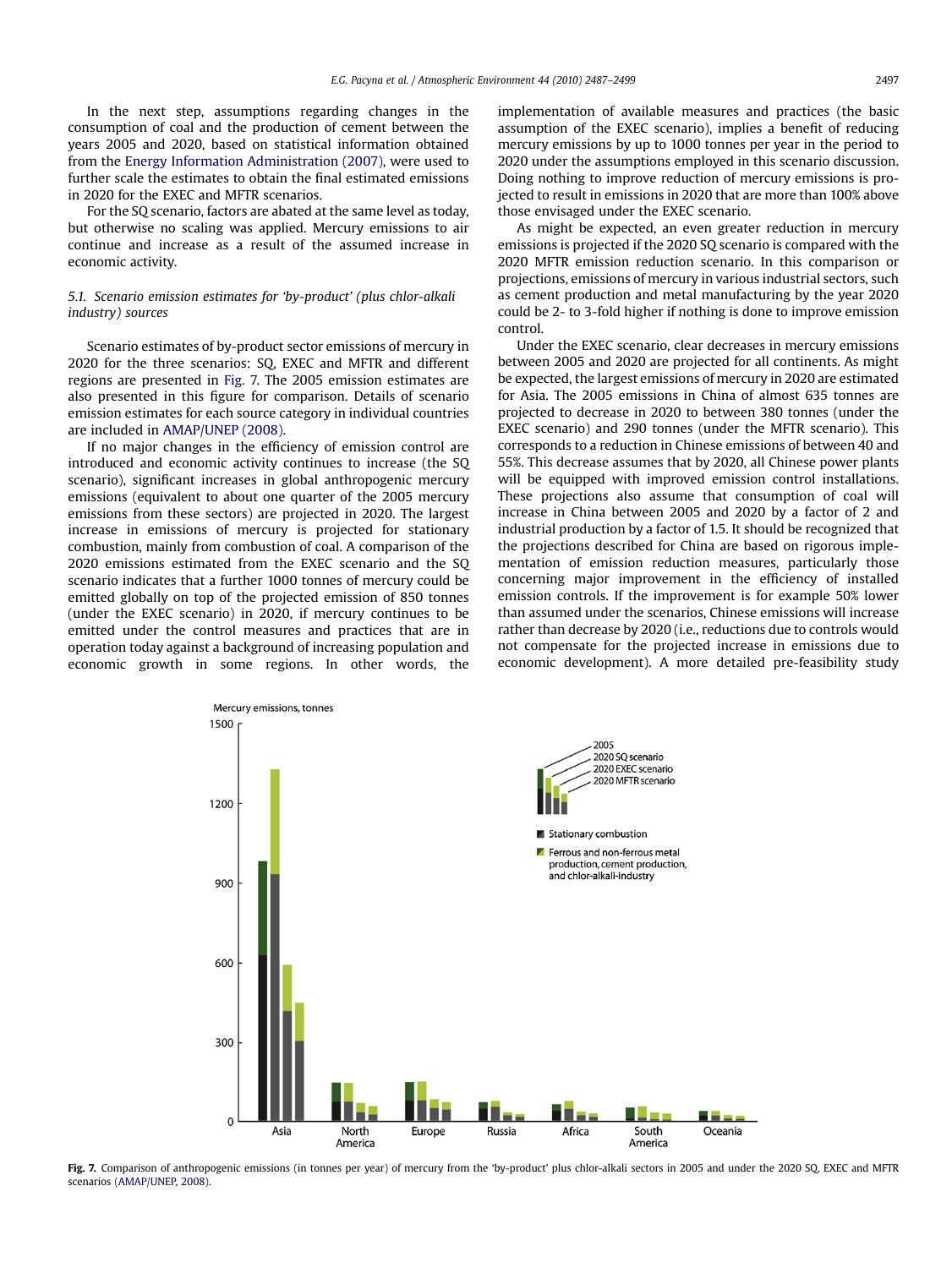In the next step, assumptions regarding changes in the consumption of coal and the production of cement between the years 2005 and 2020, based on statistical information obtained from the [Energy Information Administration \(2007\),](#page-12-0) were used to further scale the estimates to obtain the final estimated emissions in 2020 for the EXEC and MFTR scenarios.

For the SQ scenario, factors are abated at the same level as today, but otherwise no scaling was applied. Mercury emissions to air continue and increase as a result of the assumed increase in economic activity.

# 5.1. Scenario emission estimates for 'by-product' (plus chlor-alkali industry) sources

Scenario estimates of by-product sector emissions of mercury in 2020 for the three scenarios: SQ, EXEC and MFTR and different regions are presented in Fig. 7. The 2005 emission estimates are also presented in this figure for comparison. Details of scenario emission estimates for each source category in individual countries are included in [AMAP/UNEP \(2008\)](#page-12-0).

If no major changes in the efficiency of emission control are introduced and economic activity continues to increase (the SQ scenario), significant increases in global anthropogenic mercury emissions (equivalent to about one quarter of the 2005 mercury emissions from these sectors) are projected in 2020. The largest increase in emissions of mercury is projected for stationary combustion, mainly from combustion of coal. A comparison of the 2020 emissions estimated from the EXEC scenario and the SQ scenario indicates that a further 1000 tonnes of mercury could be emitted globally on top of the projected emission of 850 tonnes (under the EXEC scenario) in 2020, if mercury continues to be emitted under the control measures and practices that are in operation today against a background of increasing population and economic growth in some regions. In other words, the

implementation of available measures and practices (the basic assumption of the EXEC scenario), implies a benefit of reducing mercury emissions by up to 1000 tonnes per year in the period to 2020 under the assumptions employed in this scenario discussion. Doing nothing to improve reduction of mercury emissions is projected to result in emissions in 2020 that are more than 100% above those envisaged under the EXEC scenario.

As might be expected, an even greater reduction in mercury emissions is projected if the 2020 SQ scenario is compared with the 2020 MFTR emission reduction scenario. In this comparison or projections, emissions of mercury in various industrial sectors, such as cement production and metal manufacturing by the year 2020 could be 2- to 3-fold higher if nothing is done to improve emission control.

Under the EXEC scenario, clear decreases in mercury emissions between 2005 and 2020 are projected for all continents. As might be expected, the largest emissions of mercury in 2020 are estimated for Asia. The 2005 emissions in China of almost 635 tonnes are projected to decrease in 2020 to between 380 tonnes (under the EXEC scenario) and 290 tonnes (under the MFTR scenario). This corresponds to a reduction in Chinese emissions of between 40 and 55%. This decrease assumes that by 2020, all Chinese power plants will be equipped with improved emission control installations. These projections also assume that consumption of coal will increase in China between 2005 and 2020 by a factor of 2 and industrial production by a factor of 1.5. It should be recognized that the projections described for China are based on rigorous implementation of emission reduction measures, particularly those concerning major improvement in the efficiency of installed emission controls. If the improvement is for example 50% lower than assumed under the scenarios, Chinese emissions will increase rather than decrease by 2020 (i.e., reductions due to controls would not compensate for the projected increase in emissions due to economic development). A more detailed pre-feasibility study



Fig. 7. Comparison of anthropogenic emissions (in tonnes per year) of mercury from the 'by-product' plus chlor-alkali sectors in 2005 and under the 2020 SQ, EXEC and MFTR scenarios [\(AMAP/UNEP, 2008](#page-12-0)).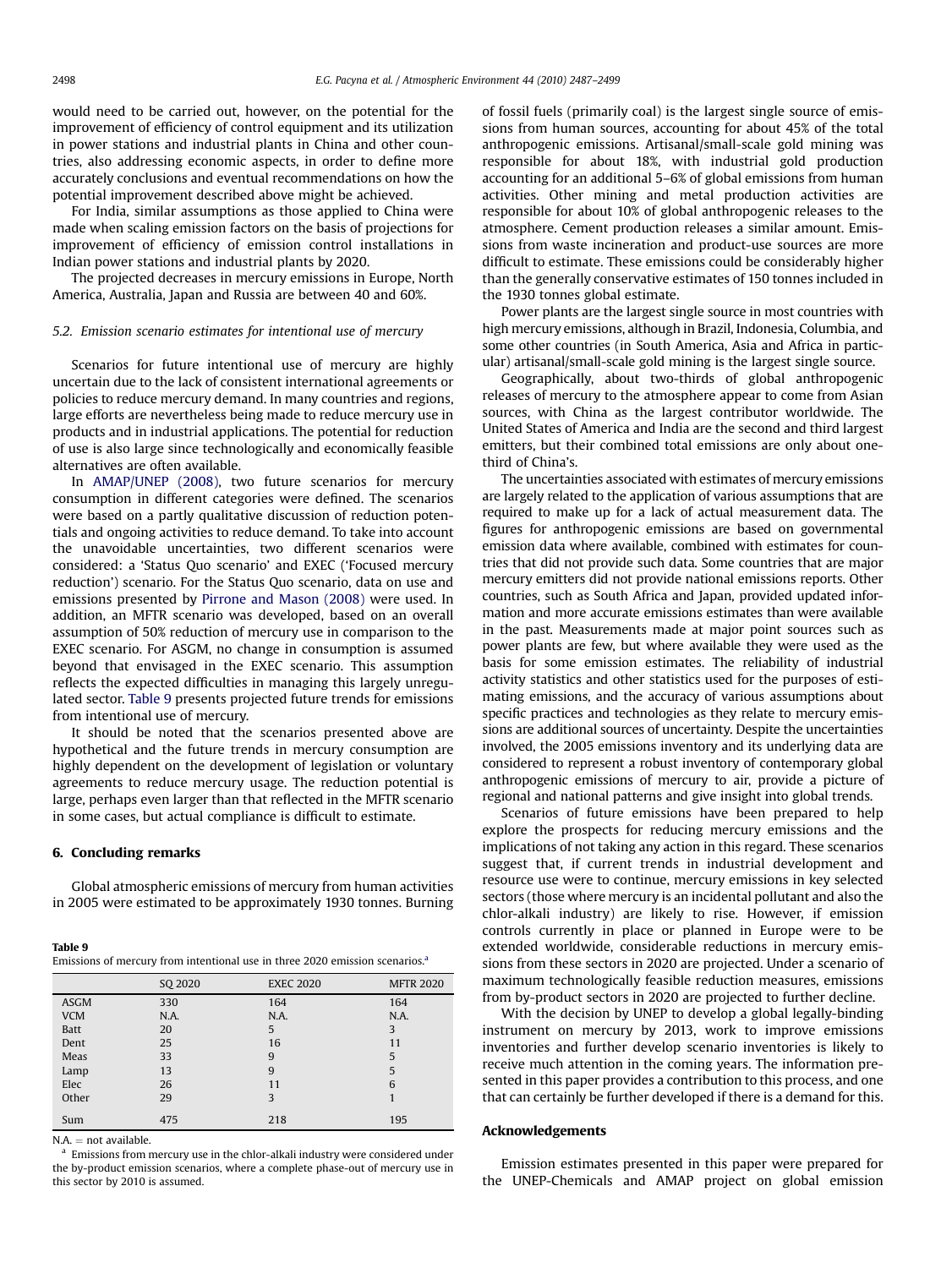would need to be carried out, however, on the potential for the improvement of efficiency of control equipment and its utilization in power stations and industrial plants in China and other countries, also addressing economic aspects, in order to define more accurately conclusions and eventual recommendations on how the potential improvement described above might be achieved.

For India, similar assumptions as those applied to China were made when scaling emission factors on the basis of projections for improvement of efficiency of emission control installations in Indian power stations and industrial plants by 2020.

The projected decreases in mercury emissions in Europe, North America, Australia, Japan and Russia are between 40 and 60%.

## 5.2. Emission scenario estimates for intentional use of mercury

Scenarios for future intentional use of mercury are highly uncertain due to the lack of consistent international agreements or policies to reduce mercury demand. In many countries and regions, large efforts are nevertheless being made to reduce mercury use in products and in industrial applications. The potential for reduction of use is also large since technologically and economically feasible alternatives are often available.

In [AMAP/UNEP \(2008\),](#page-12-0) two future scenarios for mercury consumption in different categories were defined. The scenarios were based on a partly qualitative discussion of reduction potentials and ongoing activities to reduce demand. To take into account the unavoidable uncertainties, two different scenarios were considered: a 'Status Quo scenario' and EXEC ('Focused mercury reduction') scenario. For the Status Quo scenario, data on use and emissions presented by [Pirrone and Mason \(2008\)](#page-12-0) were used. In addition, an MFTR scenario was developed, based on an overall assumption of 50% reduction of mercury use in comparison to the EXEC scenario. For ASGM, no change in consumption is assumed beyond that envisaged in the EXEC scenario. This assumption reflects the expected difficulties in managing this largely unregulated sector. Table 9 presents projected future trends for emissions from intentional use of mercury.

It should be noted that the scenarios presented above are hypothetical and the future trends in mercury consumption are highly dependent on the development of legislation or voluntary agreements to reduce mercury usage. The reduction potential is large, perhaps even larger than that reflected in the MFTR scenario in some cases, but actual compliance is difficult to estimate.

## 6. Concluding remarks

Global atmospheric emissions of mercury from human activities in 2005 were estimated to be approximately 1930 tonnes. Burning

| Table 9                                                                                  |  |
|------------------------------------------------------------------------------------------|--|
| Emissions of mercury from intentional use in three 2020 emission scenarios. <sup>a</sup> |  |

|             | SQ 2020 | <b>EXEC 2020</b> | <b>MFTR 2020</b> |
|-------------|---------|------------------|------------------|
| <b>ASGM</b> | 330     | 164              | 164              |
| <b>VCM</b>  | N.A.    | N.A.             | N.A.             |
| <b>Batt</b> | 20      | 5                | 3                |
| Dent        | 25      | 16               | 11               |
| Meas        | 33      | 9                | 5                |
| Lamp        | 13      | 9                | 5                |
| Elec        | 26      | 11               | 6                |
| Other       | 29      | 3                |                  |
| Sum         | 475     | 218              | 195              |

 $N.A.$  = not available.

<sup>a</sup> Emissions from mercury use in the chlor-alkali industry were considered under the by-product emission scenarios, where a complete phase-out of mercury use in this sector by 2010 is assumed.

of fossil fuels (primarily coal) is the largest single source of emissions from human sources, accounting for about 45% of the total anthropogenic emissions. Artisanal/small-scale gold mining was responsible for about 18%, with industrial gold production accounting for an additional 5–6% of global emissions from human activities. Other mining and metal production activities are responsible for about 10% of global anthropogenic releases to the atmosphere. Cement production releases a similar amount. Emissions from waste incineration and product-use sources are more difficult to estimate. These emissions could be considerably higher than the generally conservative estimates of 150 tonnes included in the 1930 tonnes global estimate.

Power plants are the largest single source in most countries with high mercury emissions, although in Brazil, Indonesia, Columbia, and some other countries (in South America, Asia and Africa in particular) artisanal/small-scale gold mining is the largest single source.

Geographically, about two-thirds of global anthropogenic releases of mercury to the atmosphere appear to come from Asian sources, with China as the largest contributor worldwide. The United States of America and India are the second and third largest emitters, but their combined total emissions are only about onethird of China's.

The uncertainties associated with estimates of mercury emissions are largely related to the application of various assumptions that are required to make up for a lack of actual measurement data. The figures for anthropogenic emissions are based on governmental emission data where available, combined with estimates for countries that did not provide such data. Some countries that are major mercury emitters did not provide national emissions reports. Other countries, such as South Africa and Japan, provided updated information and more accurate emissions estimates than were available in the past. Measurements made at major point sources such as power plants are few, but where available they were used as the basis for some emission estimates. The reliability of industrial activity statistics and other statistics used for the purposes of estimating emissions, and the accuracy of various assumptions about specific practices and technologies as they relate to mercury emissions are additional sources of uncertainty. Despite the uncertainties involved, the 2005 emissions inventory and its underlying data are considered to represent a robust inventory of contemporary global anthropogenic emissions of mercury to air, provide a picture of regional and national patterns and give insight into global trends.

Scenarios of future emissions have been prepared to help explore the prospects for reducing mercury emissions and the implications of not taking any action in this regard. These scenarios suggest that, if current trends in industrial development and resource use were to continue, mercury emissions in key selected sectors (those where mercury is an incidental pollutant and also the chlor-alkali industry) are likely to rise. However, if emission controls currently in place or planned in Europe were to be extended worldwide, considerable reductions in mercury emissions from these sectors in 2020 are projected. Under a scenario of maximum technologically feasible reduction measures, emissions from by-product sectors in 2020 are projected to further decline.

With the decision by UNEP to develop a global legally-binding instrument on mercury by 2013, work to improve emissions inventories and further develop scenario inventories is likely to receive much attention in the coming years. The information presented in this paper provides a contribution to this process, and one that can certainly be further developed if there is a demand for this.

## Acknowledgements

Emission estimates presented in this paper were prepared for the UNEP-Chemicals and AMAP project on global emission